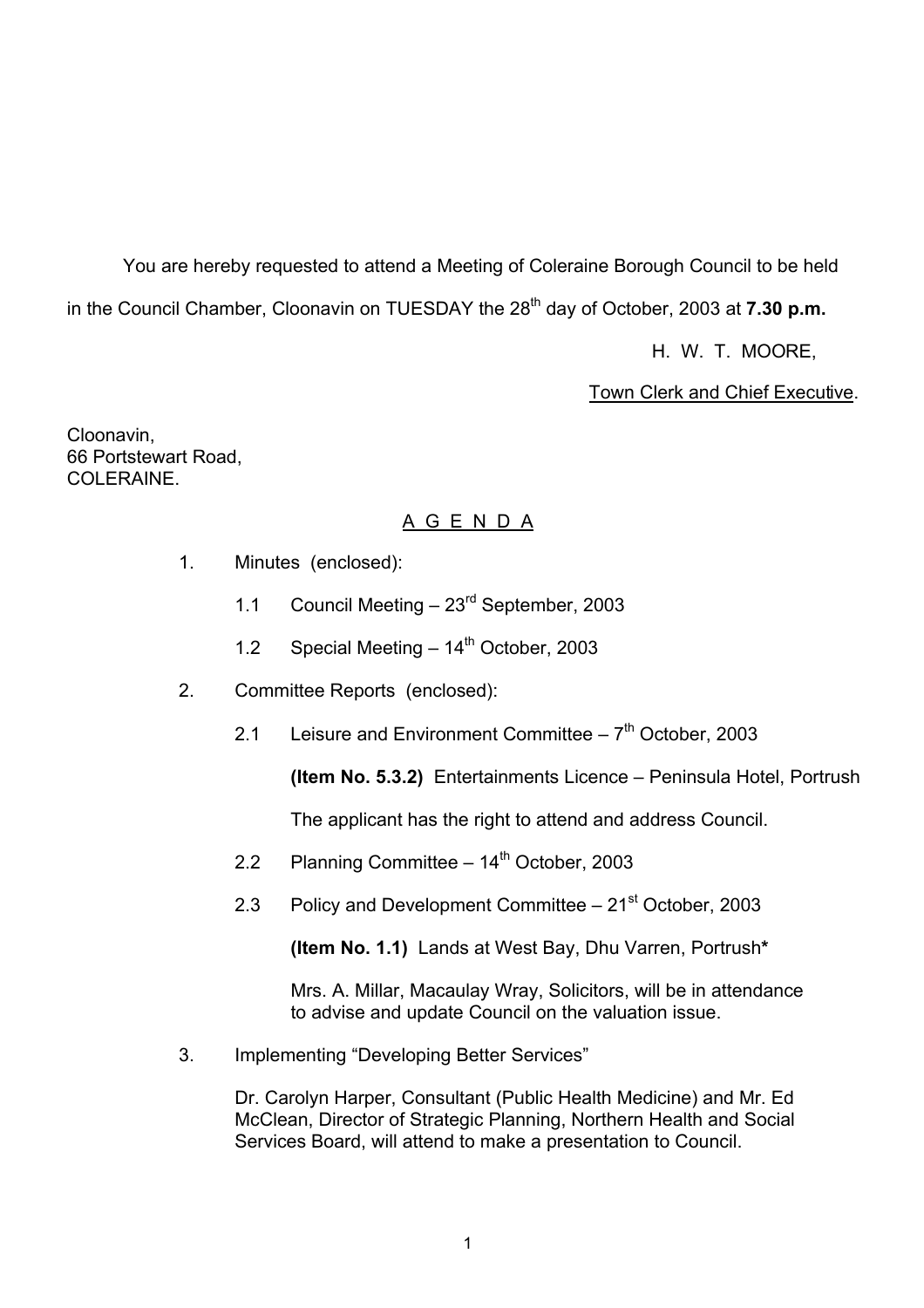You are hereby requested to attend a Meeting of Coleraine Borough Council to be held in the Council Chamber, Cloonavin on TUESDAY the 28<sup>th</sup> day of October, 2003 at **7.30 p.m.** 

H. W. T. MOORE,

Town Clerk and Chief Executive.

Cloonavin, 66 Portstewart Road, COLERAINE.

# A G E N D A

- 1. Minutes (enclosed):
	- 1.1 Council Meeting  $-23<sup>rd</sup>$  September, 2003
	- 1.2 Special Meeting  $-14^{th}$  October, 2003
- 2. Committee Reports (enclosed):
	- 2.1 Leisure and Environment Committee  $-7<sup>th</sup>$  October, 2003

**(Item No. 5.3.2)** Entertainments Licence – Peninsula Hotel, Portrush

The applicant has the right to attend and address Council.

- 2.2 Planning Committee  $-14^{\text{th}}$  October, 2003
- 2.3 Policy and Development Committee  $-21<sup>st</sup>$  October, 2003

**(Item No. 1.1)** Lands at West Bay, Dhu Varren, Portrush**\***

 Mrs. A. Millar, Macaulay Wray, Solicitors, will be in attendance to advise and update Council on the valuation issue.

3. Implementing "Developing Better Services"

Dr. Carolyn Harper, Consultant (Public Health Medicine) and Mr. Ed McClean, Director of Strategic Planning, Northern Health and Social Services Board, will attend to make a presentation to Council.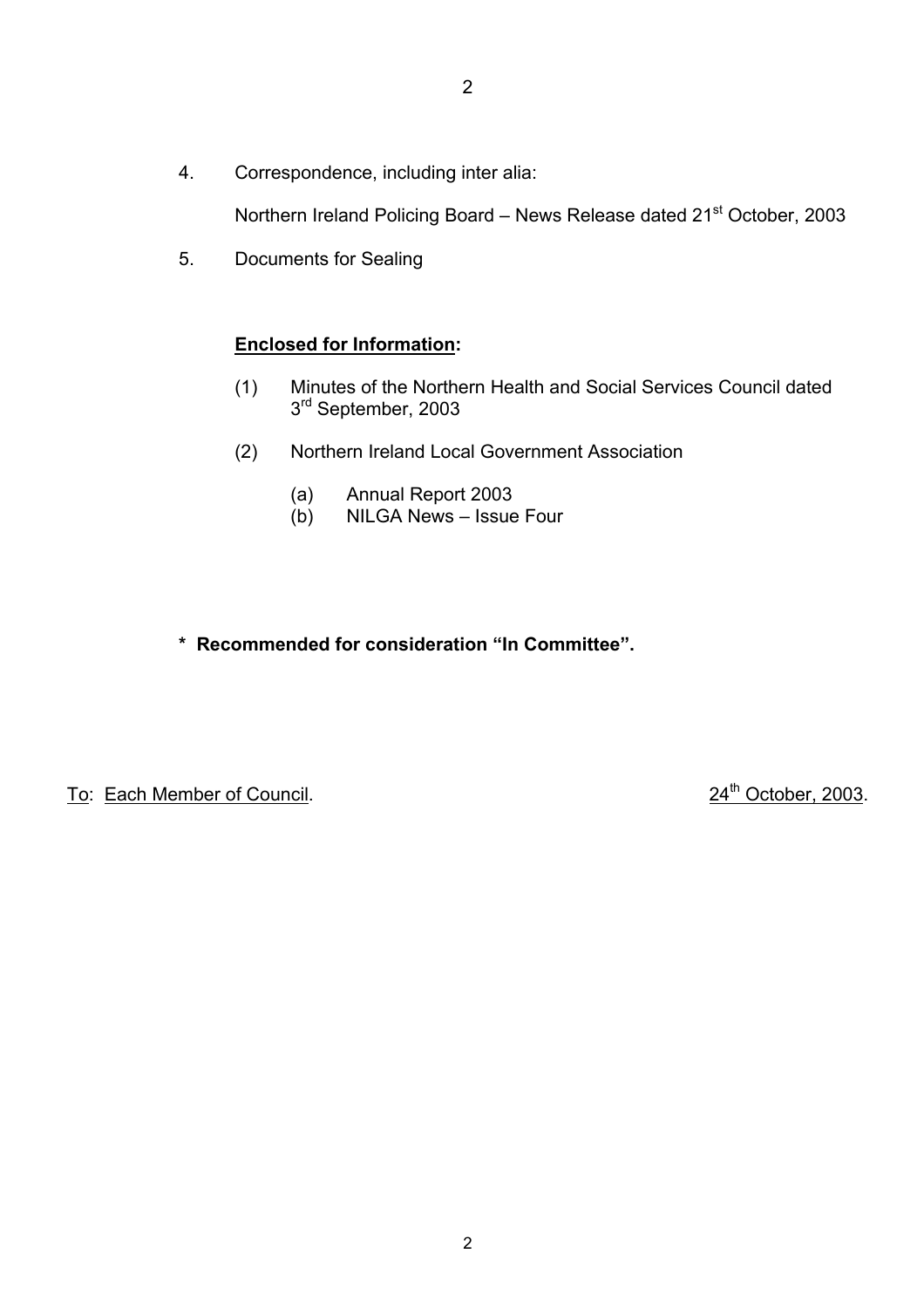4. Correspondence, including inter alia:

Northern Ireland Policing Board - News Release dated 21<sup>st</sup> October, 2003

5. Documents for Sealing

# **Enclosed for Information:**

- (1) Minutes of the Northern Health and Social Services Council dated 3<sup>rd</sup> September, 2003
- (2) Northern Ireland Local Government Association
	- (a) Annual Report 2003
	- $(b)$  NILGA News Issue Four
- \* Recommended for consideration "In Committee".

To: Each Member of Council. 24<sup>th</sup> October, 2003.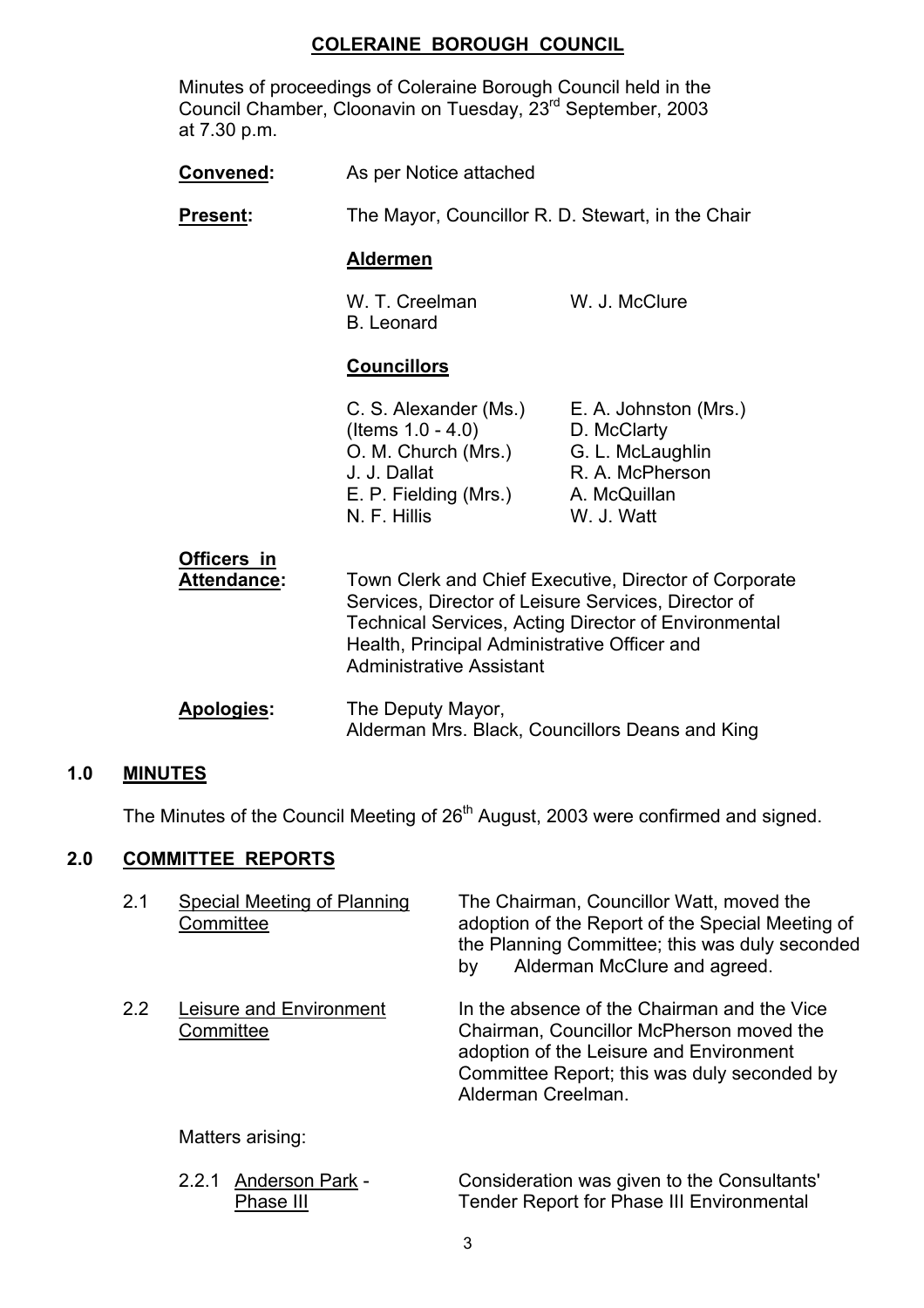### **COLERAINE BOROUGH COUNCIL**

 Minutes of proceedings of Coleraine Borough Council held in the Council Chamber, Cloonavin on Tuesday, 23rd September, 2003 at 7.30 p.m.

| Convened:                                | As per Notice attached                                                                                                                                                                                                                                         |                                                                                                           |
|------------------------------------------|----------------------------------------------------------------------------------------------------------------------------------------------------------------------------------------------------------------------------------------------------------------|-----------------------------------------------------------------------------------------------------------|
| <b>Present:</b>                          | The Mayor, Councillor R. D. Stewart, in the Chair                                                                                                                                                                                                              |                                                                                                           |
|                                          | <b>Aldermen</b>                                                                                                                                                                                                                                                |                                                                                                           |
|                                          | W. T. Creelman<br><b>B.</b> Leonard                                                                                                                                                                                                                            | W. J. McClure                                                                                             |
|                                          | <b>Councillors</b>                                                                                                                                                                                                                                             |                                                                                                           |
|                                          | C. S. Alexander (Ms.)<br>(Items $1.0 - 4.0$ )<br>O. M. Church (Mrs.)<br>J. J. Dallat<br>E. P. Fielding (Mrs.)<br>N. F. Hillis                                                                                                                                  | E. A. Johnston (Mrs.)<br>D. McClarty<br>G. L. McLaughlin<br>R. A. McPherson<br>A. McQuillan<br>W. J. Watt |
| <b>Officers in</b><br><b>Attendance:</b> | Town Clerk and Chief Executive, Director of Corporate<br>Services, Director of Leisure Services, Director of<br><b>Technical Services, Acting Director of Environmental</b><br>Health, Principal Administrative Officer and<br><b>Administrative Assistant</b> |                                                                                                           |
| Apologies:                               | The Deputy Mayor,<br>Alderman Mrs. Black, Councillors Deans and King                                                                                                                                                                                           |                                                                                                           |

### **1.0 MINUTES**

The Minutes of the Council Meeting of 26<sup>th</sup> August, 2003 were confirmed and signed.

# **2.0 COMMITTEE REPORTS**

| 2.1           | Special Meeting of Planning<br>Committee | The Chairman, Councillor Watt, moved the<br>adoption of the Report of the Special Meeting of<br>the Planning Committee; this was duly seconded<br>Alderman McClure and agreed.<br>by                    |
|---------------|------------------------------------------|---------------------------------------------------------------------------------------------------------------------------------------------------------------------------------------------------------|
| $2.2^{\circ}$ | Leisure and Environment<br>Committee     | In the absence of the Chairman and the Vice<br>Chairman, Councillor McPherson moved the<br>adoption of the Leisure and Environment<br>Committee Report; this was duly seconded by<br>Alderman Creelman. |
|               | Matters arising:                         |                                                                                                                                                                                                         |
|               |                                          |                                                                                                                                                                                                         |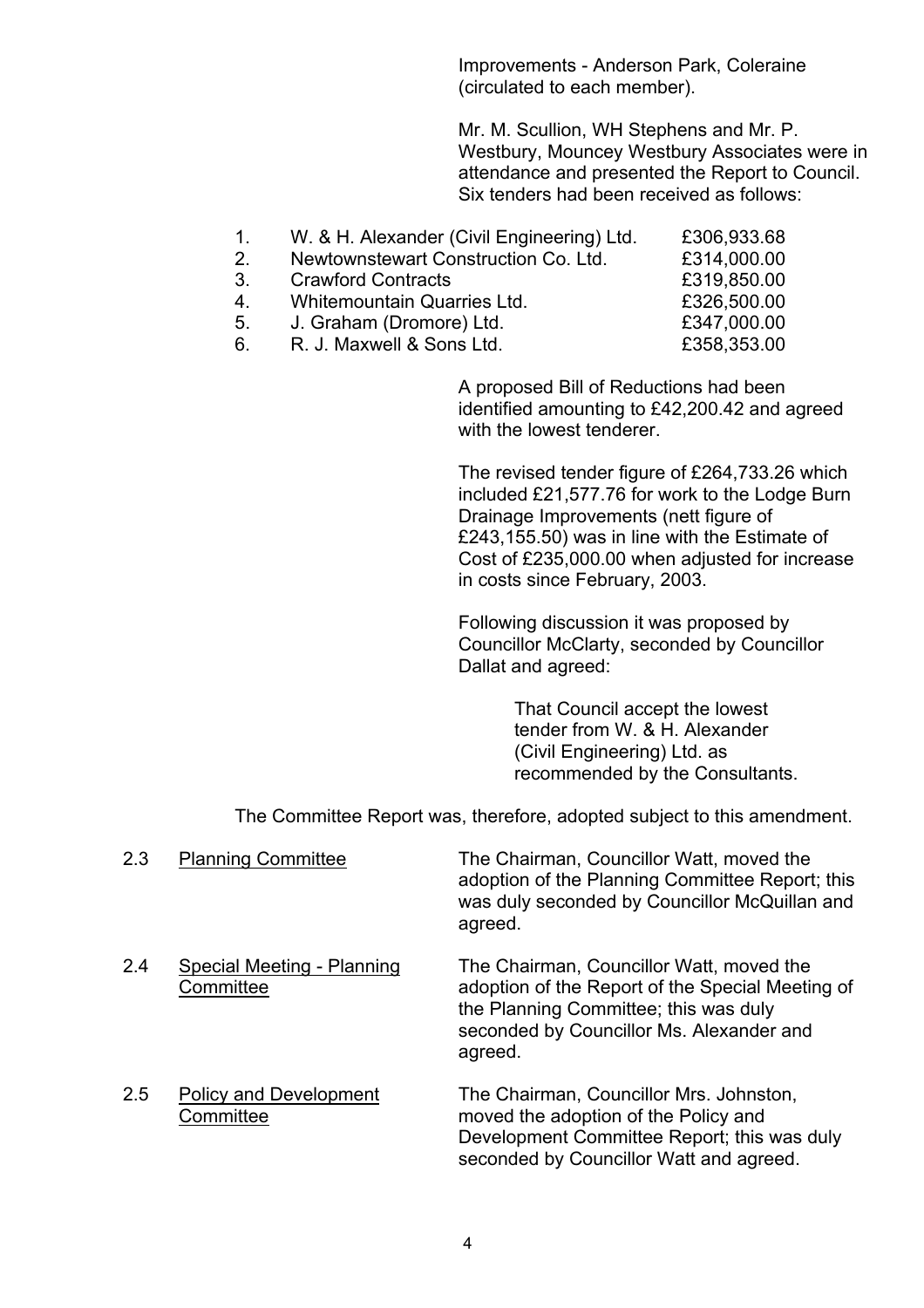Improvements - Anderson Park, Coleraine (circulated to each member).

Mr. M. Scullion, WH Stephens and Mr. P. Westbury, Mouncey Westbury Associates were in attendance and presented the Report to Council. Six tenders had been received as follows:

| $\mathbf{1}$  | W. & H. Alexander (Civil Engineering) Ltd. | £306,933.68 |
|---------------|--------------------------------------------|-------------|
| $\mathcal{P}$ | Newtownstewart Construction Co. Ltd.       | £314,000.00 |
| 3.            | <b>Crawford Contracts</b>                  | £319,850.00 |
| 4.            | Whitemountain Quarries Ltd.                | £326,500.00 |
| 5.            | J. Graham (Dromore) Ltd.                   | £347,000.00 |
| 6.            | R. J. Maxwell & Sons Ltd.                  | £358,353.00 |

 A proposed Bill of Reductions had been identified amounting to £42,200.42 and agreed with the lowest tenderer.

 The revised tender figure of £264,733.26 which included £21,577.76 for work to the Lodge Burn Drainage Improvements (nett figure of £243,155.50) was in line with the Estimate of Cost of £235,000.00 when adjusted for increase in costs since February, 2003.

Following discussion it was proposed by Councillor McClarty, seconded by Councillor Dallat and agreed:

> That Council accept the lowest tender from W. & H. Alexander (Civil Engineering) Ltd. as recommended by the Consultants.

The Committee Report was, therefore, adopted subject to this amendment.

| 2.3 | <b>Planning Committee</b>                  | The Chairman, Councillor Watt, moved the<br>adoption of the Planning Committee Report; this<br>was duly seconded by Councillor McQuillan and<br>agreed.                                      |
|-----|--------------------------------------------|----------------------------------------------------------------------------------------------------------------------------------------------------------------------------------------------|
| 2.4 | Special Meeting - Planning<br>Committee    | The Chairman, Councillor Watt, moved the<br>adoption of the Report of the Special Meeting of<br>the Planning Committee; this was duly<br>seconded by Councillor Ms. Alexander and<br>agreed. |
| 2.5 | <b>Policy and Development</b><br>Committee | The Chairman, Councillor Mrs. Johnston,<br>moved the adoption of the Policy and<br>Development Committee Report; this was duly<br>seconded by Councillor Watt and agreed.                    |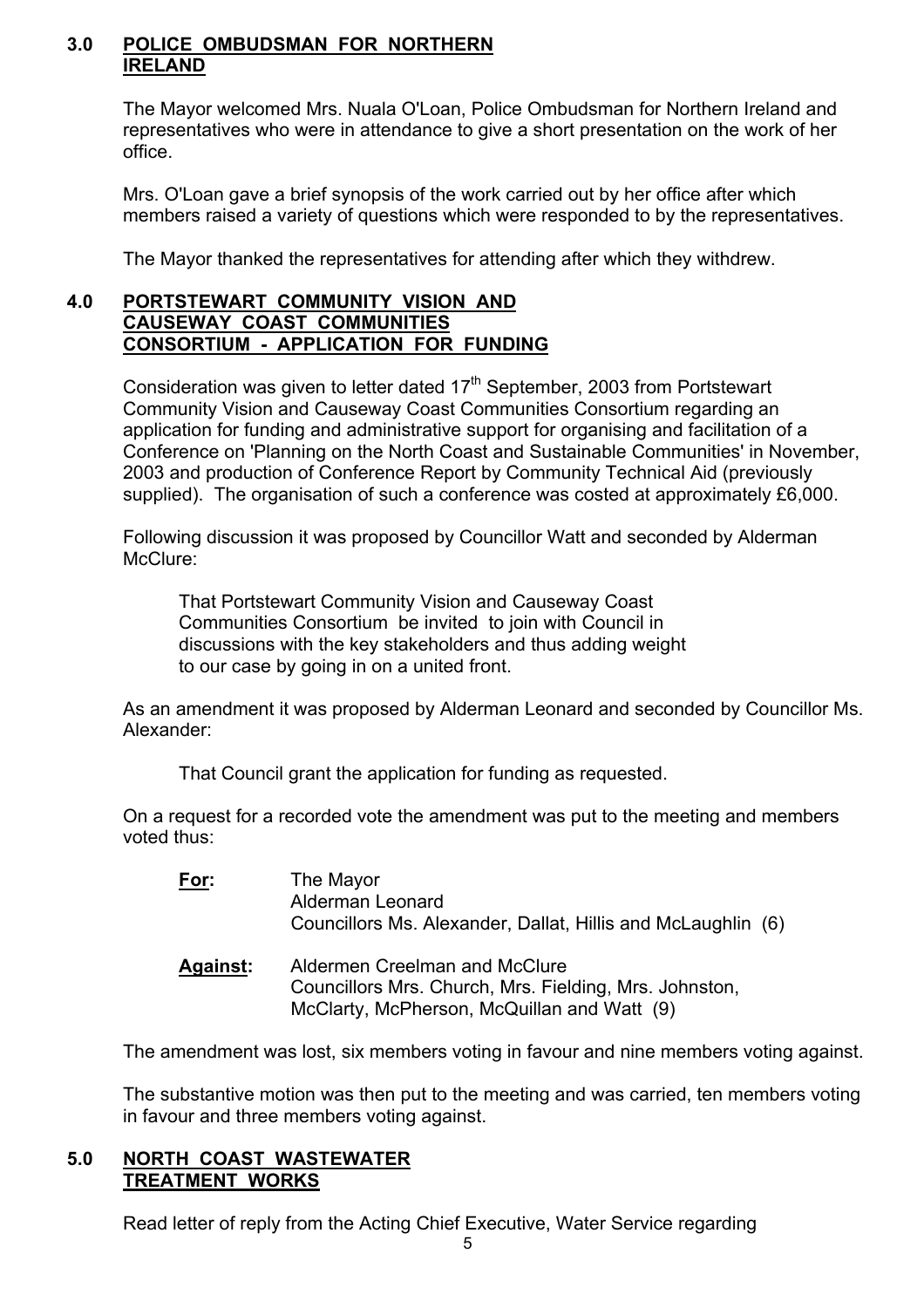### **3.0 POLICE OMBUDSMAN FOR NORTHERN IRELAND**

 The Mayor welcomed Mrs. Nuala O'Loan, Police Ombudsman for Northern Ireland and representatives who were in attendance to give a short presentation on the work of her office.

 Mrs. O'Loan gave a brief synopsis of the work carried out by her office after which members raised a variety of questions which were responded to by the representatives.

The Mayor thanked the representatives for attending after which they withdrew.

#### **4.0 PORTSTEWART COMMUNITY VISION AND CAUSEWAY COAST COMMUNITIES CONSORTIUM - APPLICATION FOR FUNDING**

Consideration was given to letter dated  $17<sup>th</sup>$  September, 2003 from Portstewart Community Vision and Causeway Coast Communities Consortium regarding an application for funding and administrative support for organising and facilitation of a Conference on 'Planning on the North Coast and Sustainable Communities' in November, 2003 and production of Conference Report by Community Technical Aid (previously supplied). The organisation of such a conference was costed at approximately £6,000.

Following discussion it was proposed by Councillor Watt and seconded by Alderman McClure:

That Portstewart Community Vision and Causeway Coast Communities Consortium be invited to join with Council in discussions with the key stakeholders and thus adding weight to our case by going in on a united front.

As an amendment it was proposed by Alderman Leonard and seconded by Councillor Ms. Alexander:

That Council grant the application for funding as requested.

On a request for a recorded vote the amendment was put to the meeting and members voted thus:

| For:            | The Mayor<br>Alderman Leonard<br>Councillors Ms. Alexander, Dallat, Hillis and McLaughlin (6) |
|-----------------|-----------------------------------------------------------------------------------------------|
| <b>Against:</b> | Aldermen Creelman and McClure<br>Councillors Mrs. Church, Mrs. Fielding, Mrs. Johnston,       |

McClarty, McPherson, McQuillan and Watt (9)

The amendment was lost, six members voting in favour and nine members voting against.

The substantive motion was then put to the meeting and was carried, ten members voting in favour and three members voting against.

### **5.0 NORTH COAST WASTEWATER TREATMENT WORKS**

Read letter of reply from the Acting Chief Executive, Water Service regarding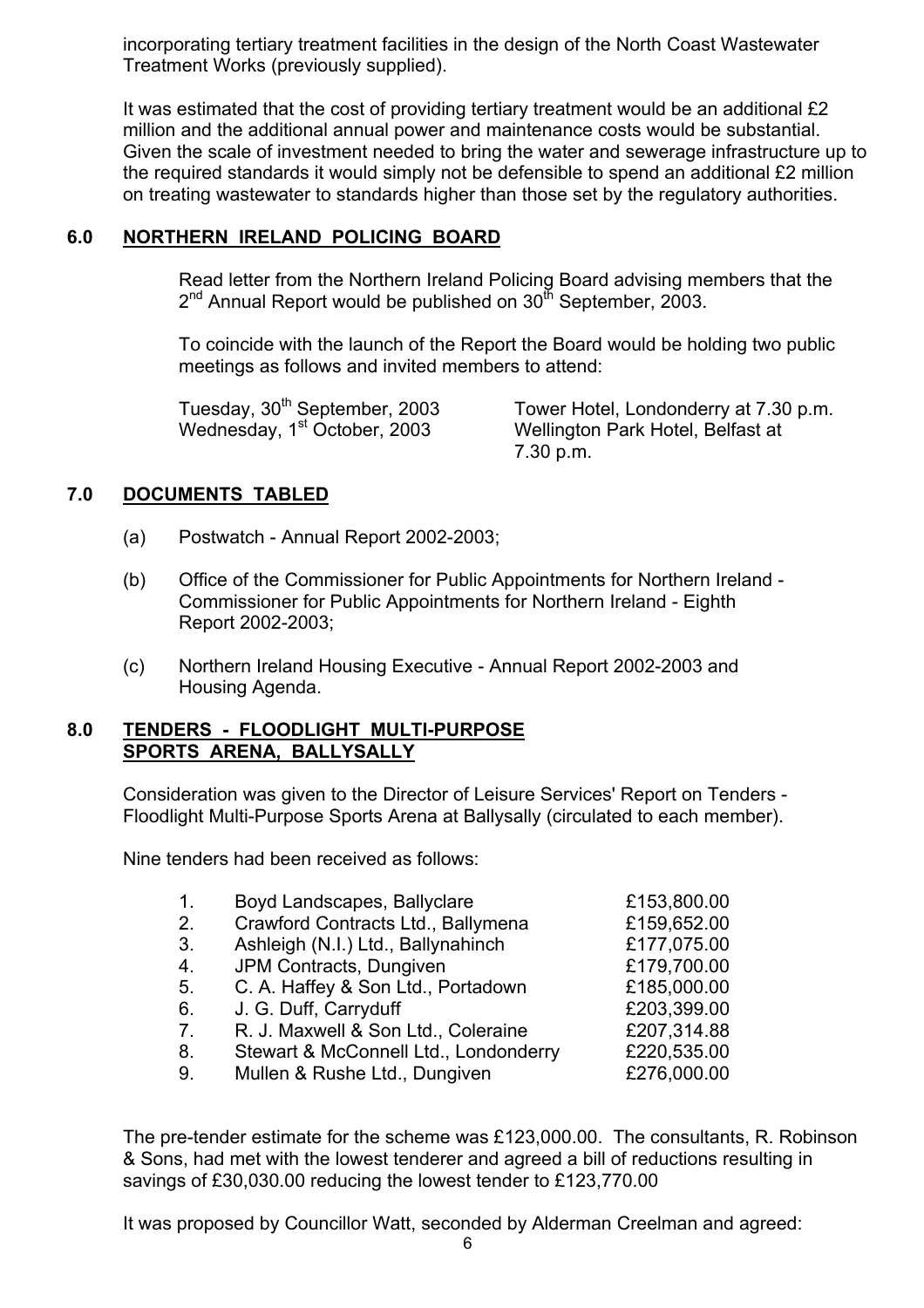incorporating tertiary treatment facilities in the design of the North Coast Wastewater Treatment Works (previously supplied).

It was estimated that the cost of providing tertiary treatment would be an additional £2 million and the additional annual power and maintenance costs would be substantial. Given the scale of investment needed to bring the water and sewerage infrastructure up to the required standards it would simply not be defensible to spend an additional £2 million on treating wastewater to standards higher than those set by the regulatory authorities.

# **6.0 NORTHERN IRELAND POLICING BOARD**

 Read letter from the Northern Ireland Policing Board advising members that the  $2^{nd}$  Annual Report would be published on  $30^{th}$  September, 2003.

To coincide with the launch of the Report the Board would be holding two public meetings as follows and invited members to attend:

Tuesday, 30<sup>th</sup> September, 2003 Tower Hotel, Londonderry at 7.30 p.m. Wednesday, 1<sup>st</sup> October, 2003 Wellington Park Hotel, Belfast at 7.30 p.m.

# **7.0 DOCUMENTS TABLED**

- (a) Postwatch Annual Report 2002-2003;
- (b) Office of the Commissioner for Public Appointments for Northern Ireland Commissioner for Public Appointments for Northern Ireland - Eighth Report 2002-2003;
- (c) Northern Ireland Housing Executive Annual Report 2002-2003 and Housing Agenda.

### **8.0 TENDERS - FLOODLIGHT MULTI-PURPOSE SPORTS ARENA, BALLYSALLY**

 Consideration was given to the Director of Leisure Services' Report on Tenders - Floodlight Multi-Purpose Sports Arena at Ballysally (circulated to each member).

Nine tenders had been received as follows:

| 1.             | Boyd Landscapes, Ballyclare           | £153,800.00 |
|----------------|---------------------------------------|-------------|
| 2.             | Crawford Contracts Ltd., Ballymena    | £159,652.00 |
| 3.             | Ashleigh (N.I.) Ltd., Ballynahinch    | £177,075.00 |
| 4.             | JPM Contracts, Dungiven               | £179,700.00 |
| 5.             | C. A. Haffey & Son Ltd., Portadown    | £185,000.00 |
| 6.             | J. G. Duff, Carryduff                 | £203,399.00 |
| 7 <sub>1</sub> | R. J. Maxwell & Son Ltd., Coleraine   | £207,314.88 |
| 8.             | Stewart & McConnell Ltd., Londonderry | £220,535.00 |
| 9.             | Mullen & Rushe Ltd., Dungiven         | £276,000.00 |

The pre-tender estimate for the scheme was £123,000.00. The consultants, R. Robinson & Sons, had met with the lowest tenderer and agreed a bill of reductions resulting in savings of £30,030.00 reducing the lowest tender to £123,770.00

It was proposed by Councillor Watt, seconded by Alderman Creelman and agreed: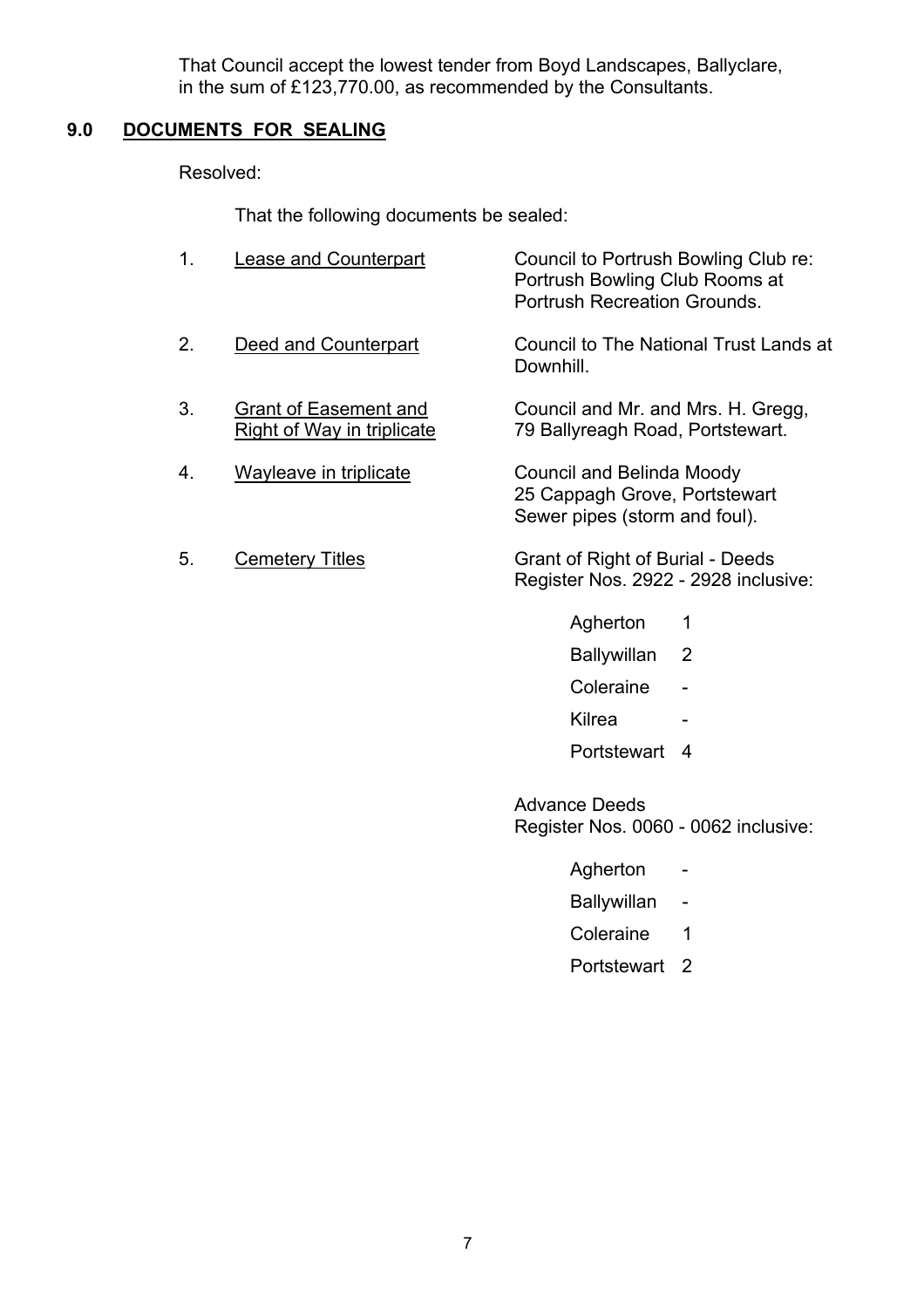That Council accept the lowest tender from Boyd Landscapes, Ballyclare, in the sum of £123,770.00, as recommended by the Consultants.

# **9.0 DOCUMENTS FOR SEALING**

Resolved:

That the following documents be sealed:

| 1. | <b>Lease and Counterpart</b>                               | Council to Portrush Bowling Club re:<br>Portrush Bowling Club Rooms at<br><b>Portrush Recreation Grounds.</b> |
|----|------------------------------------------------------------|---------------------------------------------------------------------------------------------------------------|
| 2. | Deed and Counterpart                                       | Council to The National Trust Lands at<br>Downhill.                                                           |
| 3. | <b>Grant of Easement and</b><br>Right of Way in triplicate | Council and Mr. and Mrs. H. Gregg,<br>79 Ballyreagh Road, Portstewart.                                        |
| 4. | Wayleave in triplicate                                     | Council and Belinda Moody<br>25 Cappagh Grove, Portstewart<br>Sewer pipes (storm and foul).                   |

- 5. Cemetery Titles Grant of Right of Burial Deeds Register Nos. 2922 - 2928 inclusive:
	- Agherton 1
	- Ballywillan 2
	- Coleraine -
- e de la contradición de la contradición de la contradición de la contradición de la contradición de la contradición de la contradición de la contradición de la contradición de la contradición de la contradición de la contr
	- Portstewart 4

 Advance Deeds Register Nos. 0060 - 0062 inclusive:

- Agherton -
- Ballywillan -
- Coleraine 1
- Portstewart 2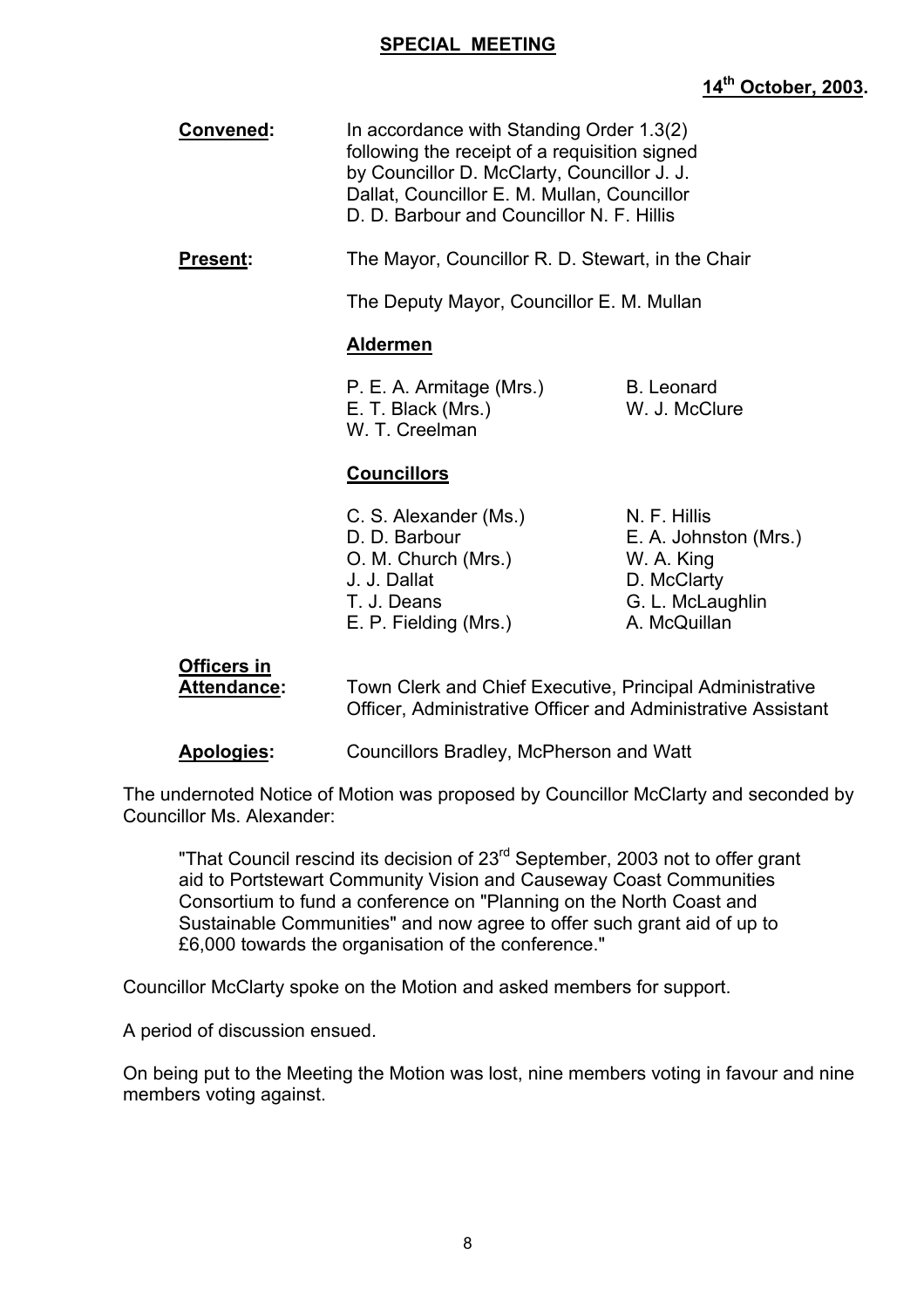### **SPECIAL MEETING**

# **14th October, 2003.**

| Convened:       | In accordance with Standing Order 1.3(2)<br>following the receipt of a requisition signed<br>by Councillor D. McClarty, Councillor J. J.<br>Dallat, Councillor E. M. Mullan, Councillor<br>D. D. Barbour and Councillor N. F. Hillis |
|-----------------|--------------------------------------------------------------------------------------------------------------------------------------------------------------------------------------------------------------------------------------|
| <b>Present:</b> | The Mayor, Councillor R. D. Stewart, in the Chair                                                                                                                                                                                    |
|                 | The Deputy Mayor, Councillor E. M. Mullan                                                                                                                                                                                            |
|                 |                                                                                                                                                                                                                                      |

### **Aldermen**

P. E. A. Armitage (Mrs.) B. Leonard E. T. Black (Mrs.) W. J. McClure W. T. Creelman

# **Councillors**

| C. S. Alexander (Ms.) | N. F. Hillis          |
|-----------------------|-----------------------|
| D. D. Barbour         | E. A. Johnston (Mrs.) |
| O. M. Church (Mrs.)   | W. A. King            |
| J. J. Dallat          | D. McClarty           |
| T. J. Deans           | G. L. McLaughlin      |
| E. P. Fielding (Mrs.) | A. McQuillan          |

# **Officers in**

 **Attendance:** Town Clerk and Chief Executive, Principal Administrative Officer, Administrative Officer and Administrative Assistant

**Apologies:** Councillors Bradley, McPherson and Watt

The undernoted Notice of Motion was proposed by Councillor McClarty and seconded by Councillor Ms. Alexander:

"That Council rescind its decision of 23<sup>rd</sup> September, 2003 not to offer grant aid to Portstewart Community Vision and Causeway Coast Communities Consortium to fund a conference on "Planning on the North Coast and Sustainable Communities" and now agree to offer such grant aid of up to £6,000 towards the organisation of the conference."

Councillor McClarty spoke on the Motion and asked members for support.

A period of discussion ensued.

On being put to the Meeting the Motion was lost, nine members voting in favour and nine members voting against.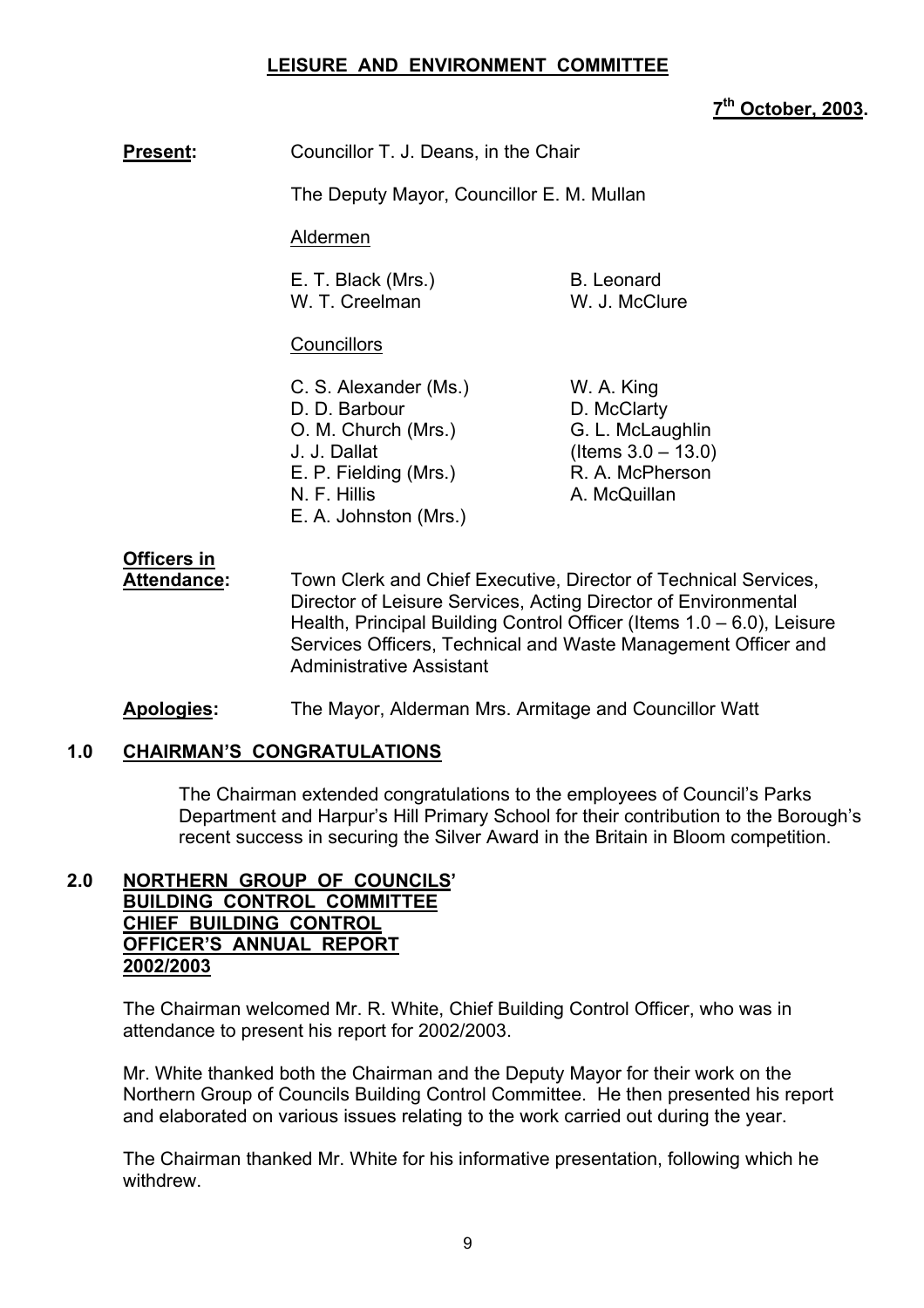### **LEISURE AND ENVIRONMENT COMMITTEE**

### **7th October, 2003.**

**Present:** Councillor T. J. Deans, in the Chair

The Deputy Mayor, Councillor E. M. Mullan

Aldermen

| E. T. Black (Mrs.) | B. Leonard    |
|--------------------|---------------|
| W. T. Creelman     | W. J. McClure |

### **Councillors**

C. S. Alexander (Ms.) W. A. King D. D. Barbour D. McClarty O. M. Church (Mrs.) G. L. McLaughlin  $J. J. Dallat$  (Items  $3.0 - 13.0$ ) E. P. Fielding (Mrs.) R. A. McPherson N. F. Hillis A. McQuillan E. A. Johnston (Mrs.)

# **Officers in**

 **Attendance:** Town Clerk and Chief Executive, Director of Technical Services, Director of Leisure Services, Acting Director of Environmental Health, Principal Building Control Officer (Items  $1.0 - 6.0$ ), Leisure Services Officers, Technical and Waste Management Officer and Administrative Assistant

**Apologies:** The Mayor, Alderman Mrs. Armitage and Councillor Watt

### **1.0 CHAIRMANíS CONGRATULATIONS**

The Chairman extended congratulations to the employees of Council's Parks Department and Harpur's Hill Primary School for their contribution to the Borough's recent success in securing the Silver Award in the Britain in Bloom competition.

#### **2.0 NORTHERN GROUP OF COUNCILSí BUILDING CONTROL COMMITTEE CHIEF BUILDING CONTROL OFFICERíS ANNUAL REPORT 2002/2003**

The Chairman welcomed Mr. R. White, Chief Building Control Officer, who was in attendance to present his report for 2002/2003.

Mr. White thanked both the Chairman and the Deputy Mayor for their work on the Northern Group of Councils Building Control Committee. He then presented his report and elaborated on various issues relating to the work carried out during the year.

The Chairman thanked Mr. White for his informative presentation, following which he withdrew.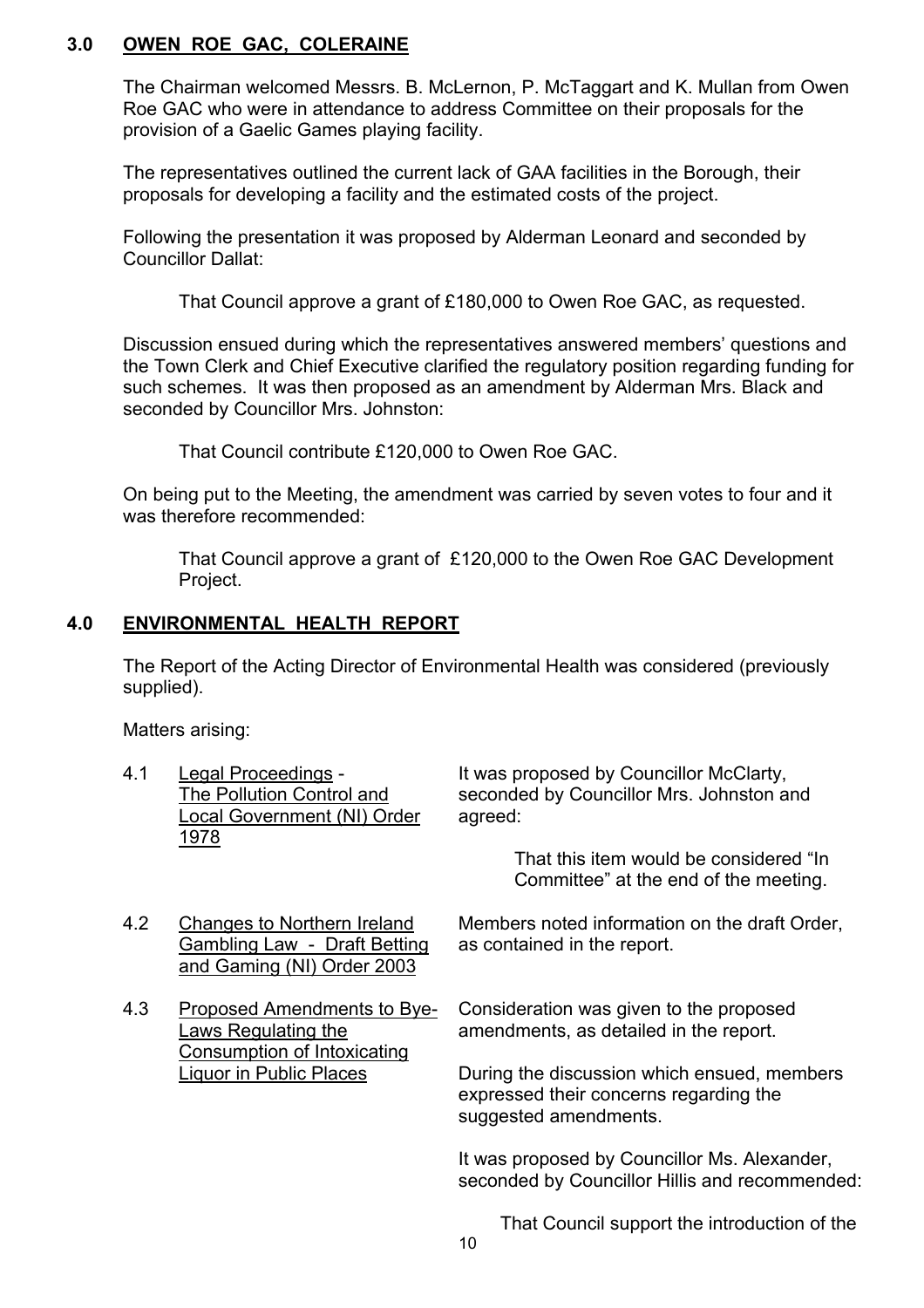# **3.0 OWEN ROE GAC, COLERAINE**

The Chairman welcomed Messrs. B. McLernon, P. McTaggart and K. Mullan from Owen Roe GAC who were in attendance to address Committee on their proposals for the provision of a Gaelic Games playing facility.

The representatives outlined the current lack of GAA facilities in the Borough, their proposals for developing a facility and the estimated costs of the project.

Following the presentation it was proposed by Alderman Leonard and seconded by Councillor Dallat:

That Council approve a grant of £180,000 to Owen Roe GAC, as requested.

Discussion ensued during which the representatives answered members' questions and the Town Clerk and Chief Executive clarified the regulatory position regarding funding for such schemes. It was then proposed as an amendment by Alderman Mrs. Black and seconded by Councillor Mrs. Johnston:

That Council contribute £120,000 to Owen Roe GAC.

On being put to the Meeting, the amendment was carried by seven votes to four and it was therefore recommended:

 That Council approve a grant of £120,000 to the Owen Roe GAC Development Project.

### **4.0 ENVIRONMENTAL HEALTH REPORT**

The Report of the Acting Director of Environmental Health was considered (previously supplied).

Matters arising:

| 4.1                            | Legal Proceedings -<br>The Pollution Control and<br>Local Government (NI) Order<br><u> 1978 </u> | It was proposed by Councillor McClarty,<br>seconded by Councillor Mrs. Johnston and<br>agreed:                 |
|--------------------------------|--------------------------------------------------------------------------------------------------|----------------------------------------------------------------------------------------------------------------|
|                                |                                                                                                  | That this item would be considered "In<br>Committee" at the end of the meeting.                                |
| 4.2                            | <b>Changes to Northern Ireland</b><br>Gambling Law - Draft Betting<br>and Gaming (NI) Order 2003 | Members noted information on the draft Order,<br>as contained in the report.                                   |
| 4.3                            | Proposed Amendments to Bye-<br>Laws Regulating the<br><b>Consumption of Intoxicating</b>         | Consideration was given to the proposed<br>amendments, as detailed in the report.                              |
| <b>Liquor in Public Places</b> |                                                                                                  | During the discussion which ensued, members<br>expressed their concerns regarding the<br>suggested amendments. |
|                                |                                                                                                  | It was proposed by Councillor Ms. Alexander,<br>seconded by Councillor Hillis and recommended:                 |
|                                |                                                                                                  |                                                                                                                |

That Council support the introduction of the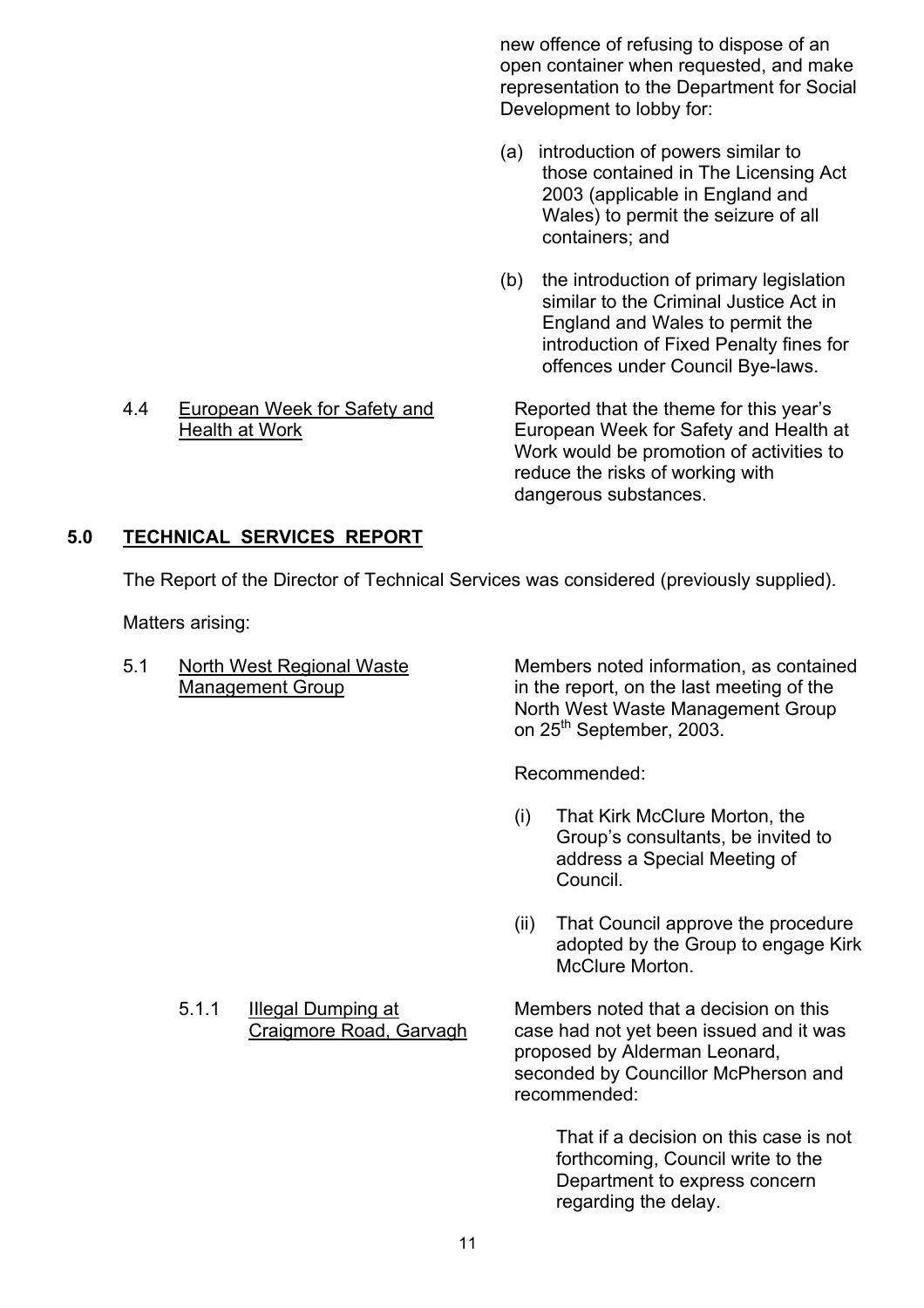new offence of refusing to dispose of an open container when requested, and make representation to the Department for Social Development to lobby for:

- (a) introduction of powers similar to those contained in The Licensing Act 2003 (applicable in England and Wales) to permit the seizure of all containers; and
- (b) the introduction of primary legislation similar to the Criminal Justice Act in England and Wales to permit the introduction of Fixed Penalty fines for offences under Council Bye-laws.

4.4 European Week for Safety and Reported that the theme for this year's Health at Work European Week for Safety and Health at Work would be promotion of activities to reduce the risks of working with dangerous substances.

# **5.0 TECHNICAL SERVICES REPORT**

The Report of the Director of Technical Services was considered (previously supplied).

Matters arising:

5.1 North West Regional Waste Members noted information, as contained Management Group in the report, on the last meeting of the North West Waste Management Group on 25<sup>th</sup> September, 2003.

Recommended:

- (i) That Kirk McClure Morton, the Group's consultants, be invited to address a Special Meeting of Council.
- (ii) That Council approve the procedure adopted by the Group to engage Kirk McClure Morton.

 5.1.1 IIlegal Dumping at Members noted that a decision on this Craigmore Road, Garvagh case had not yet been issued and it was proposed by Alderman Leonard, seconded by Councillor McPherson and recommended:

> That if a decision on this case is not forthcoming, Council write to the Department to express concern regarding the delay.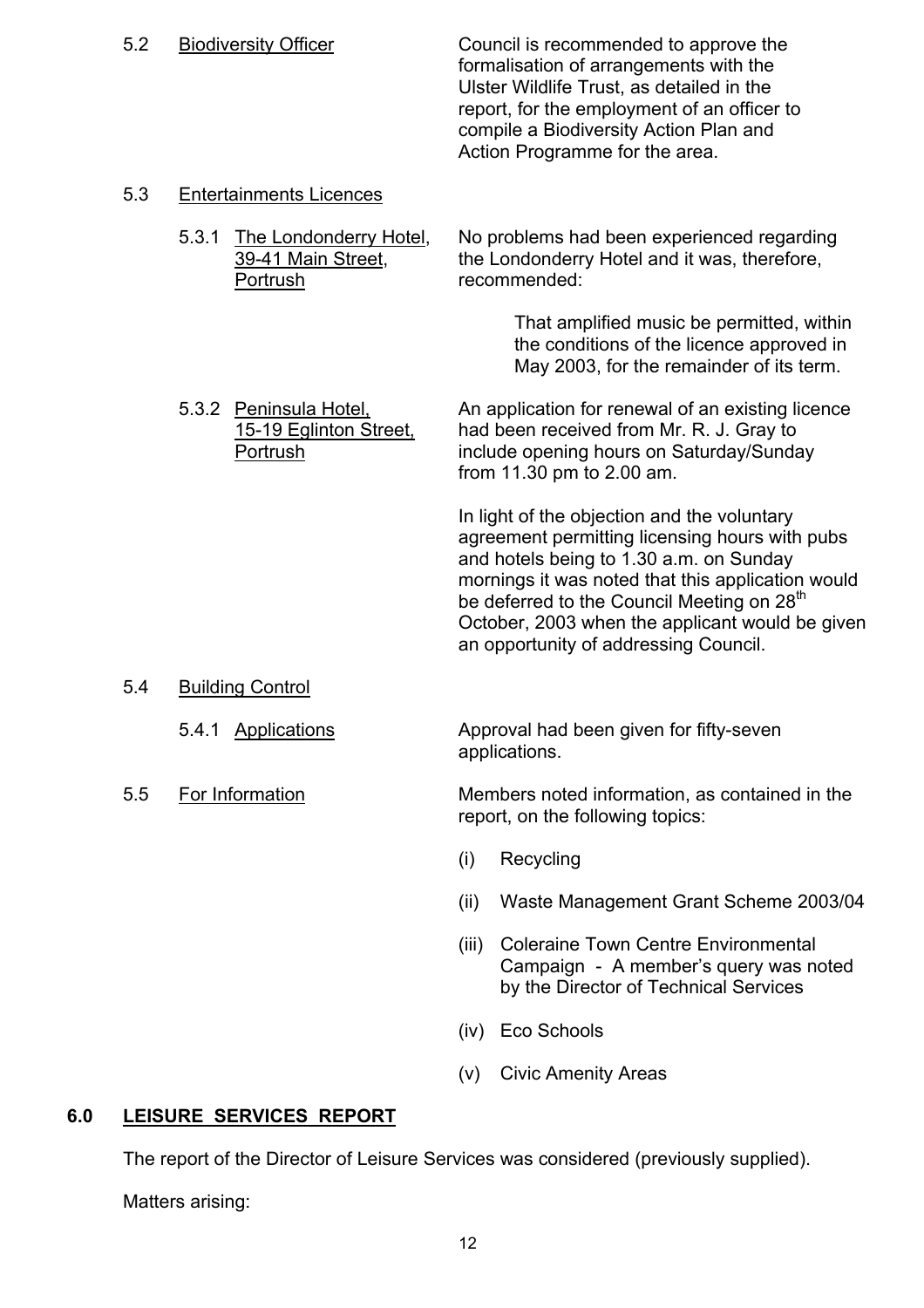5.2 Biodiversity Officer Council is recommended to approve the formalisation of arrangements with the Ulster Wildlife Trust, as detailed in the report, for the employment of an officer to compile a Biodiversity Action Plan and Action Programme for the area.

### 5.3 Entertainments Licences

5.3.1 The Londonderry Hotel, No problems had been experienced regarding 39-41 Main Street, the Londonderry Hotel and it was, therefore, Portrush recommended:

> That amplified music be permitted, within the conditions of the licence approved in May 2003, for the remainder of its term.

5.3.2 Peninsula Hotel, An application for renewal of an existing licence 15-19 Eglinton Street, had been received from Mr. R. J. Gray to Portrush include opening hours on Saturday/Sunday from 11.30 pm to 2.00 am.

> In light of the objection and the voluntary agreement permitting licensing hours with pubs and hotels being to 1.30 a.m. on Sunday mornings it was noted that this application would be deferred to the Council Meeting on 28<sup>th</sup> October, 2003 when the applicant would be given an opportunity of addressing Council.

- 5.4 Building Control
	- 5.4.1 Applications **Approval had been given for fifty-seven**
- 

applications.

 5.5 For Information Members noted information, as contained in the report, on the following topics:

- (i) Recycling
- (ii) Waste Management Grant Scheme 2003/04
- (iii) Coleraine Town Centre Environmental Campaign - A member's query was noted by the Director of Technical Services
- (iv) Eco Schools
- (v) Civic Amenity Areas

# **6.0 LEISURE SERVICES REPORT**

The report of the Director of Leisure Services was considered (previously supplied).

Matters arising: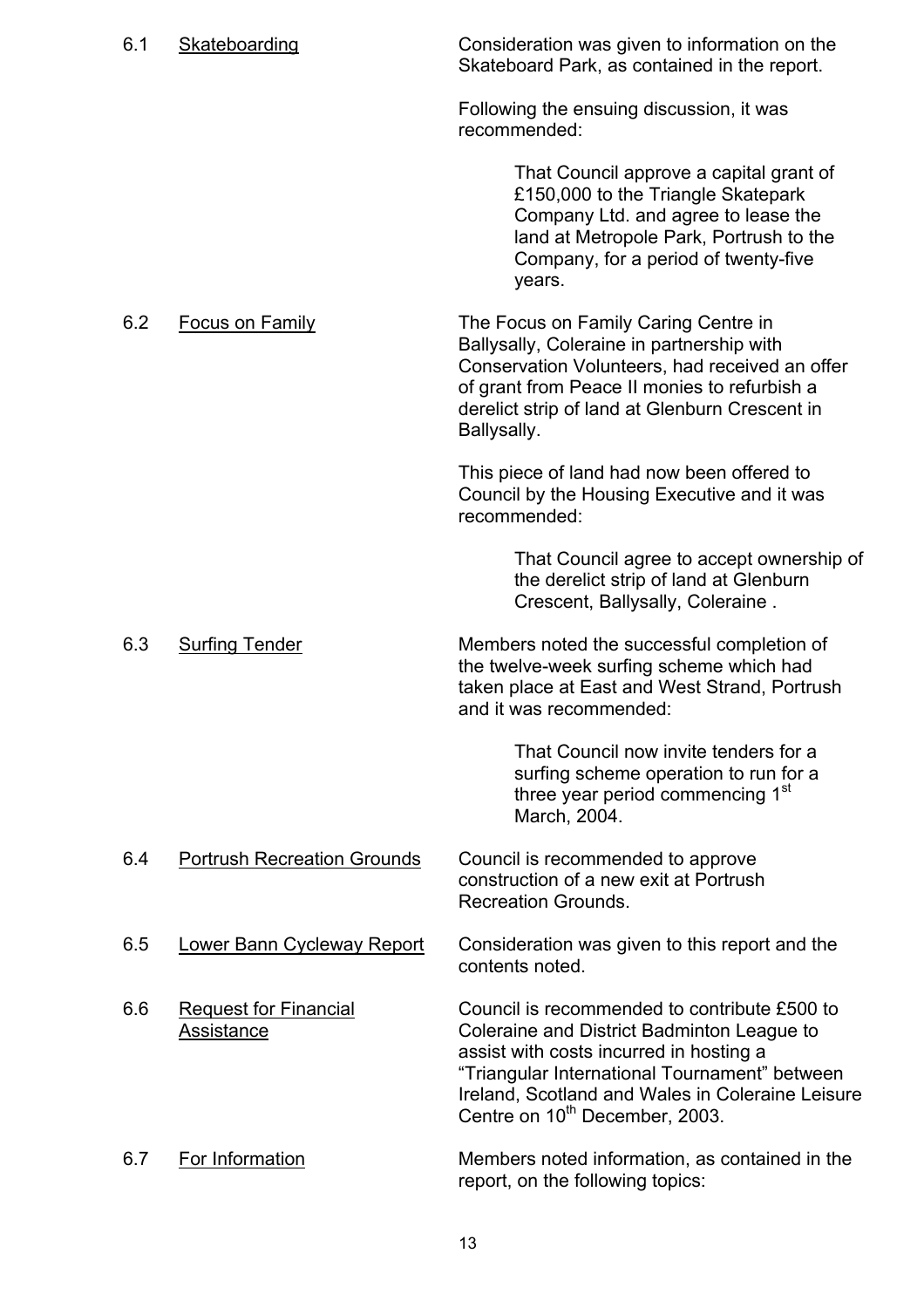| 6.1 | Skateboarding                              | Consideration was given to information on the<br>Skateboard Park, as contained in the report.                                                                                                                                                                                            |
|-----|--------------------------------------------|------------------------------------------------------------------------------------------------------------------------------------------------------------------------------------------------------------------------------------------------------------------------------------------|
|     |                                            | Following the ensuing discussion, it was<br>recommended:                                                                                                                                                                                                                                 |
|     |                                            | That Council approve a capital grant of<br>£150,000 to the Triangle Skatepark<br>Company Ltd. and agree to lease the<br>land at Metropole Park, Portrush to the<br>Company, for a period of twenty-five<br>years.                                                                        |
| 6.2 | <b>Focus on Family</b>                     | The Focus on Family Caring Centre in<br>Ballysally, Coleraine in partnership with<br>Conservation Volunteers, had received an offer<br>of grant from Peace II monies to refurbish a<br>derelict strip of land at Glenburn Crescent in<br>Ballysally.                                     |
|     |                                            | This piece of land had now been offered to<br>Council by the Housing Executive and it was<br>recommended:                                                                                                                                                                                |
|     |                                            | That Council agree to accept ownership of<br>the derelict strip of land at Glenburn<br>Crescent, Ballysally, Coleraine.                                                                                                                                                                  |
| 6.3 | <b>Surfing Tender</b>                      | Members noted the successful completion of<br>the twelve-week surfing scheme which had<br>taken place at East and West Strand, Portrush<br>and it was recommended:                                                                                                                       |
|     |                                            | That Council now invite tenders for a<br>surfing scheme operation to run for a<br>three year period commencing 1 <sup>st</sup><br>March, 2004.                                                                                                                                           |
| 6.4 | <b>Portrush Recreation Grounds</b>         | Council is recommended to approve<br>construction of a new exit at Portrush<br><b>Recreation Grounds.</b>                                                                                                                                                                                |
| 6.5 | <b>Lower Bann Cycleway Report</b>          | Consideration was given to this report and the<br>contents noted.                                                                                                                                                                                                                        |
| 6.6 | <b>Request for Financial</b><br>Assistance | Council is recommended to contribute £500 to<br>Coleraine and District Badminton League to<br>assist with costs incurred in hosting a<br>"Triangular International Tournament" between<br>Ireland, Scotland and Wales in Coleraine Leisure<br>Centre on 10 <sup>th</sup> December, 2003. |
| 6.7 | For Information                            | Members noted information, as contained in the<br>report, on the following topics:                                                                                                                                                                                                       |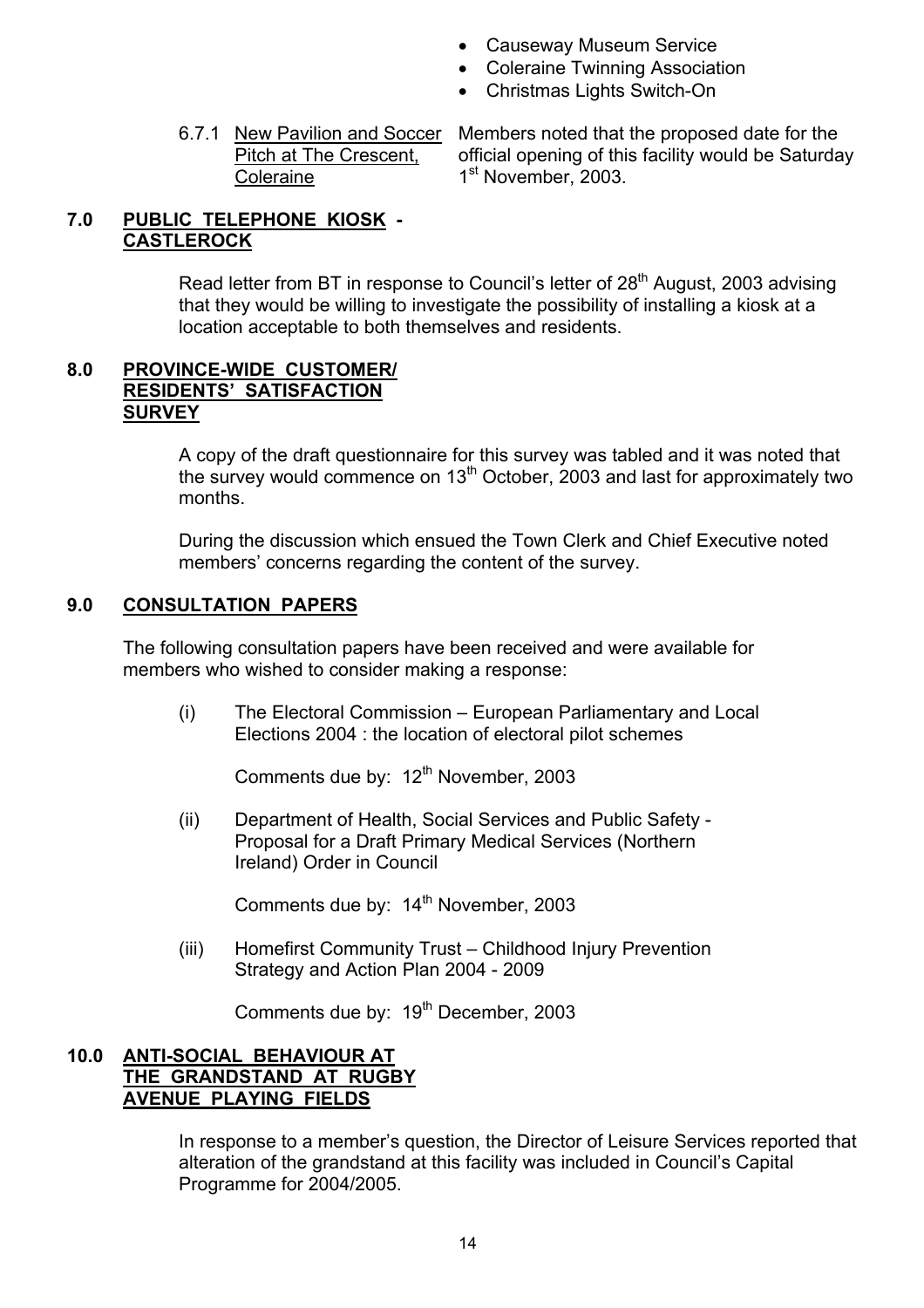- Causeway Museum Service
- Coleraine Twinning Association
- Christmas Lights Switch-On
- Coleraine 1<sup>st</sup> November, 2003.

 6.7.1 New Pavilion and Soccer Members noted that the proposed date for the Pitch at The Crescent, official opening of this facility would be Saturday

# **7.0 PUBLIC TELEPHONE KIOSK - CASTLEROCK**

Read letter from BT in response to Council's letter of 28<sup>th</sup> August, 2003 advising that they would be willing to investigate the possibility of installing a kiosk at a location acceptable to both themselves and residents.

### **8.0 PROVINCE-WIDE CUSTOMER/ RESIDENTSí SATISFACTION SURVEY**

 A copy of the draft questionnaire for this survey was tabled and it was noted that the survey would commence on  $13<sup>th</sup>$  October, 2003 and last for approximately two months.

During the discussion which ensued the Town Clerk and Chief Executive noted members' concerns regarding the content of the survey.

# **9.0 CONSULTATION PAPERS**

The following consultation papers have been received and were available for members who wished to consider making a response:

 $(i)$  The Electoral Commission – European Parliamentary and Local Elections 2004 : the location of electoral pilot schemes

Comments due by: 12<sup>th</sup> November, 2003

 (ii) Department of Health, Social Services and Public Safety - Proposal for a Draft Primary Medical Services (Northern Ireland) Order in Council

Comments due by: 14<sup>th</sup> November, 2003

(iii) Homefirst Community Trust – Childhood Injury Prevention Strategy and Action Plan 2004 - 2009

Comments due by: 19<sup>th</sup> December, 2003

### **10.0 ANTI-SOCIAL BEHAVIOUR AT THE GRANDSTAND AT RUGBY AVENUE PLAYING FIELDS**

In response to a member's question, the Director of Leisure Services reported that alteration of the grandstand at this facility was included in Council's Capital Programme for 2004/2005.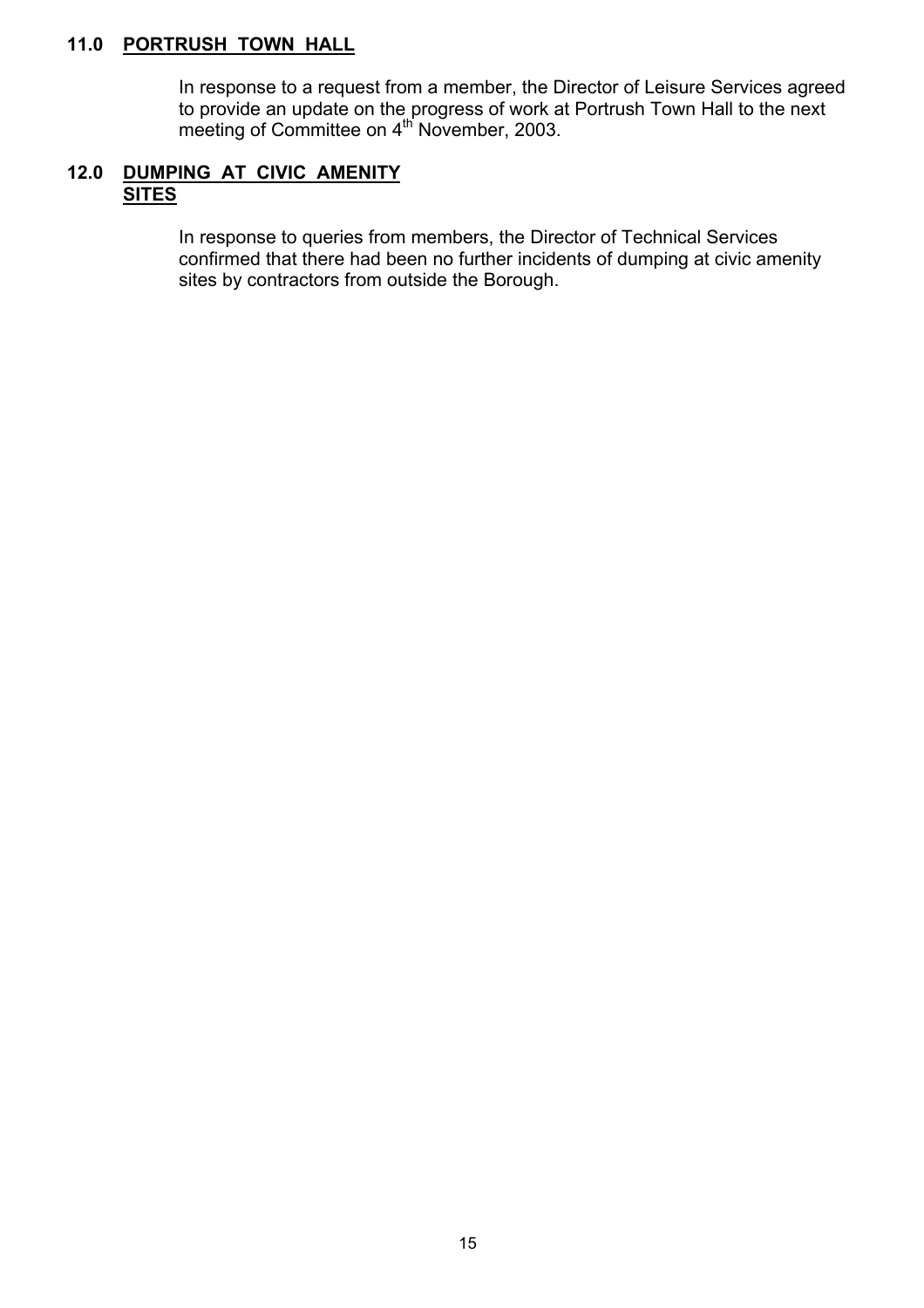### **11.0 PORTRUSH TOWN HALL**

 In response to a request from a member, the Director of Leisure Services agreed to provide an update on the progress of work at Portrush Town Hall to the next meeting of Committee on 4<sup>th</sup> November, 2003.

### **12.0 DUMPING AT CIVIC AMENITY SITES**

In response to queries from members, the Director of Technical Services confirmed that there had been no further incidents of dumping at civic amenity sites by contractors from outside the Borough.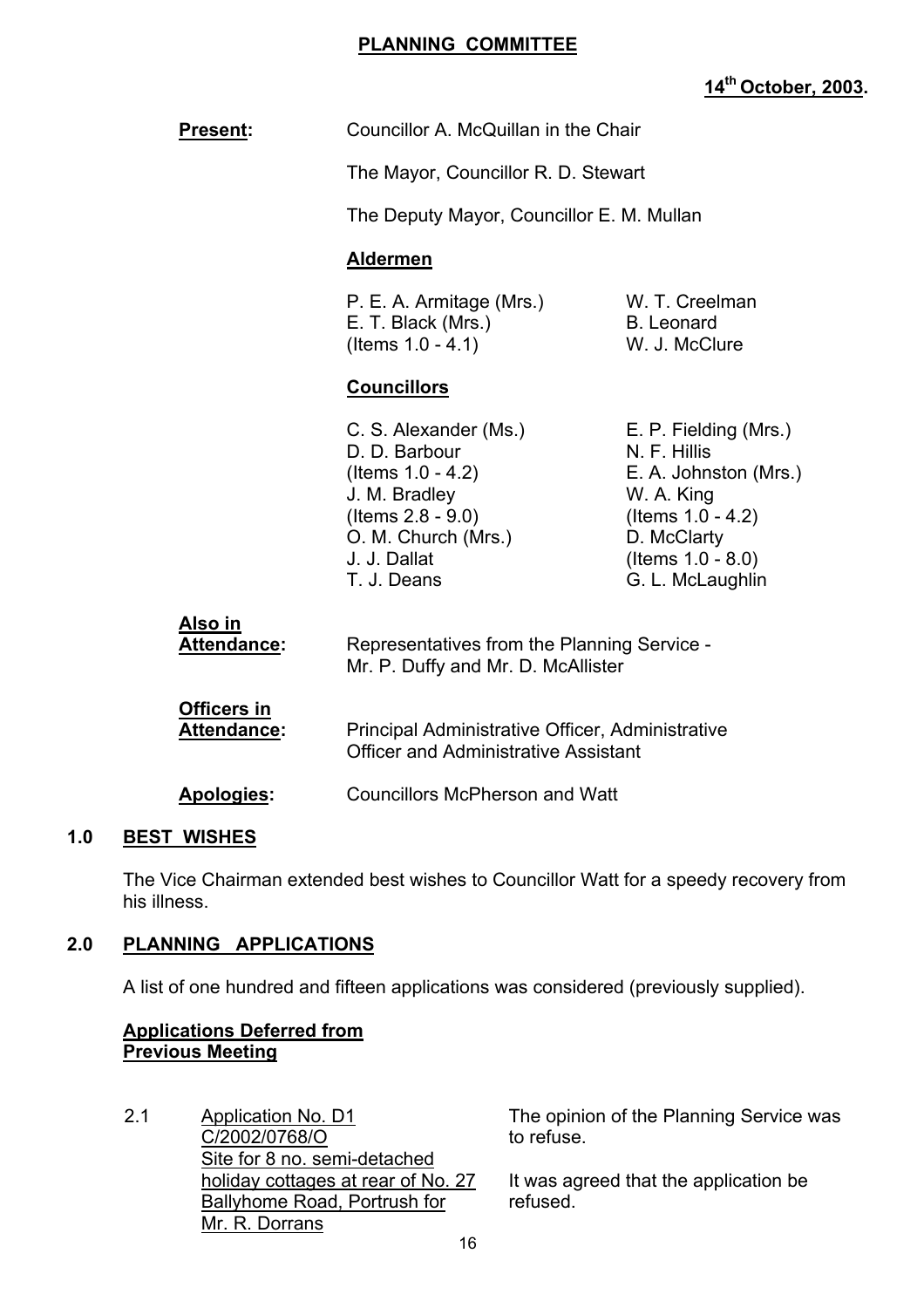### **PLANNING COMMITTEE**

# **14th October, 2003.**

|     | <b>Present:</b>                          | Councillor A. McQuillan in the Chair                                                                                                                          |                                                                                                                                                                 |  |
|-----|------------------------------------------|---------------------------------------------------------------------------------------------------------------------------------------------------------------|-----------------------------------------------------------------------------------------------------------------------------------------------------------------|--|
|     |                                          | The Mayor, Councillor R. D. Stewart                                                                                                                           |                                                                                                                                                                 |  |
|     |                                          | The Deputy Mayor, Councillor E. M. Mullan                                                                                                                     |                                                                                                                                                                 |  |
|     |                                          | <b>Aldermen</b>                                                                                                                                               |                                                                                                                                                                 |  |
|     |                                          | P. E. A. Armitage (Mrs.)<br>E. T. Black (Mrs.)<br>(Items 1.0 - 4.1)                                                                                           | W. T. Creelman<br><b>B.</b> Leonard<br>W. J. McClure                                                                                                            |  |
|     |                                          | <b>Councillors</b>                                                                                                                                            |                                                                                                                                                                 |  |
|     |                                          | C. S. Alexander (Ms.)<br>D. D. Barbour<br>(Items $1.0 - 4.2$ )<br>J. M. Bradley<br>(Items $2.8 - 9.0$ )<br>O. M. Church (Mrs.)<br>J. J. Dallat<br>T. J. Deans | E. P. Fielding (Mrs.)<br>N. F. Hillis<br>E. A. Johnston (Mrs.)<br>W. A. King<br>(Items $1.0 - 4.2$ )<br>D. McClarty<br>(Items $1.0 - 8.0$ )<br>G. L. McLaughlin |  |
|     | Also in<br>Attendance:                   | Representatives from the Planning Service -<br>Mr. P. Duffy and Mr. D. McAllister                                                                             |                                                                                                                                                                 |  |
|     | <b>Officers in</b><br><b>Attendance:</b> | Principal Administrative Officer, Administrative<br><b>Officer and Administrative Assistant</b>                                                               |                                                                                                                                                                 |  |
|     | Apologies:                               | <b>Councillors McPherson and Watt</b>                                                                                                                         |                                                                                                                                                                 |  |
| 1.0 | <b>BEST WISHES</b>                       |                                                                                                                                                               |                                                                                                                                                                 |  |

 The Vice Chairman extended best wishes to Councillor Watt for a speedy recovery from his illness.

# **2.0 PLANNING APPLICATIONS**

A list of one hundred and fifteen applications was considered (previously supplied).

### **Applications Deferred from Previous Meeting**

2.1 Application No. D1 C/2002/0768/O Site for 8 no. semi-detached holiday cottages at rear of No. 27 Ballyhome Road, Portrush for Mr. R. Dorrans

The opinion of the Planning Service was to refuse.

It was agreed that the application be refused.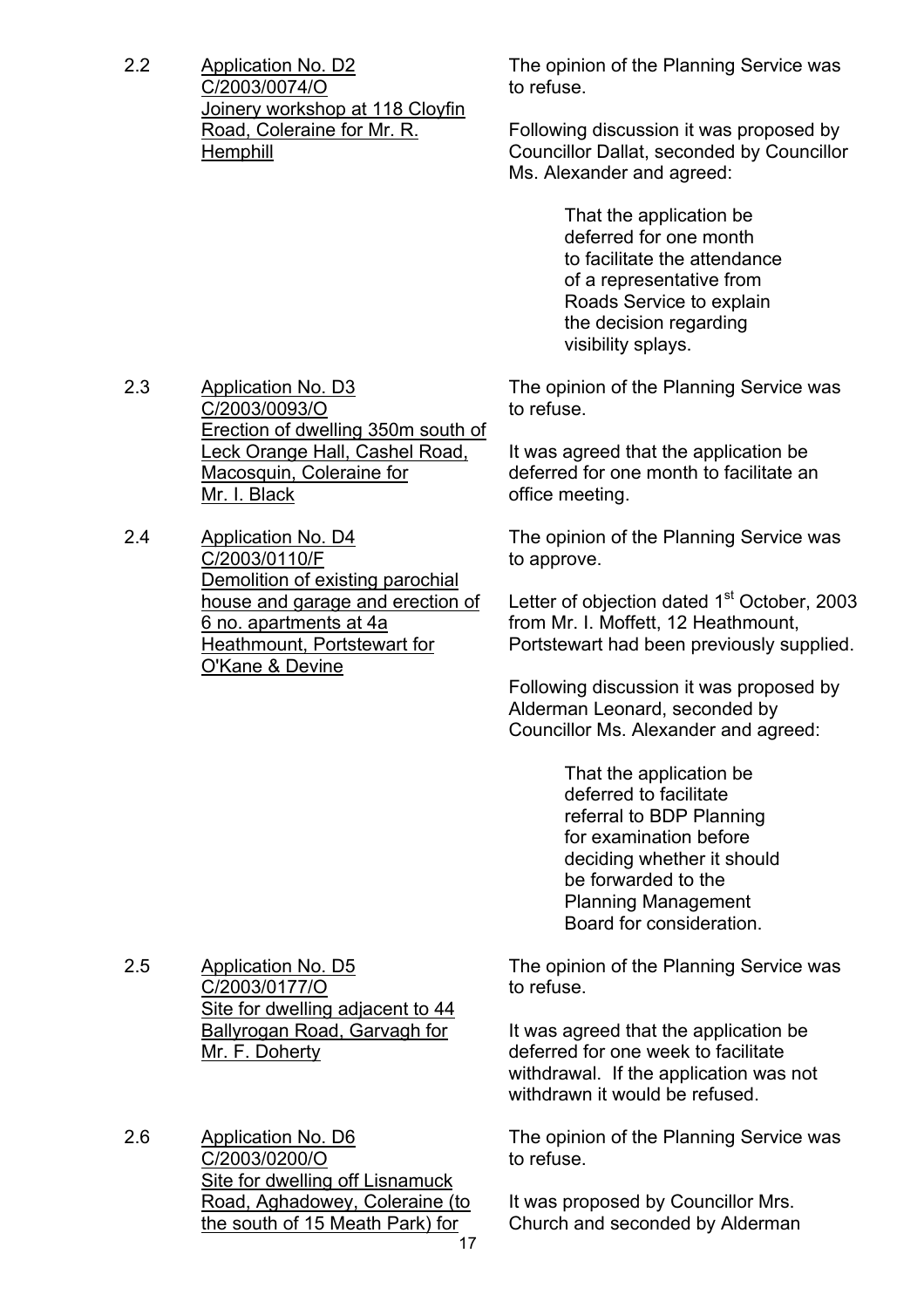2.2 Application No. D2 C/2003/0074/O Joinery workshop at 118 Cloyfin Road, Coleraine for Mr. R. **Hemphill** 

The opinion of the Planning Service was to refuse.

Following discussion it was proposed by Councillor Dallat, seconded by Councillor Ms. Alexander and agreed:

> That the application be deferred for one month to facilitate the attendance of a representative from Roads Service to explain the decision regarding visibility splays.

The opinion of the Planning Service was to refuse.

It was agreed that the application be deferred for one month to facilitate an office meeting.

The opinion of the Planning Service was to approve.

Letter of objection dated 1<sup>st</sup> October, 2003 from Mr. I. Moffett, 12 Heathmount, Portstewart had been previously supplied.

Following discussion it was proposed by Alderman Leonard, seconded by Councillor Ms. Alexander and agreed:

> That the application be deferred to facilitate referral to BDP Planning for examination before deciding whether it should be forwarded to the Planning Management Board for consideration.

The opinion of the Planning Service was to refuse.

It was agreed that the application be deferred for one week to facilitate withdrawal. If the application was not withdrawn it would be refused.

The opinion of the Planning Service was to refuse.

It was proposed by Councillor Mrs. Church and seconded by Alderman

2.3 Application No. D3 C/2003/0093/O Erection of dwelling 350m south of Leck Orange Hall, Cashel Road, Macosquin, Coleraine for Mr. I. Black

2.4 Application No. D4 C/2003/0110/F Demolition of existing parochial house and garage and erection of 6 no. apartments at 4a Heathmount, Portstewart for O'Kane & Devine

2.5 Application No. D5 C/2003/0177/O Site for dwelling adjacent to 44 Ballyrogan Road, Garvagh for Mr. F. Doherty

2.6 Application No. D6 C/2003/0200/O Site for dwelling off Lisnamuck Road, Aghadowey, Coleraine (to the south of 15 Meath Park) for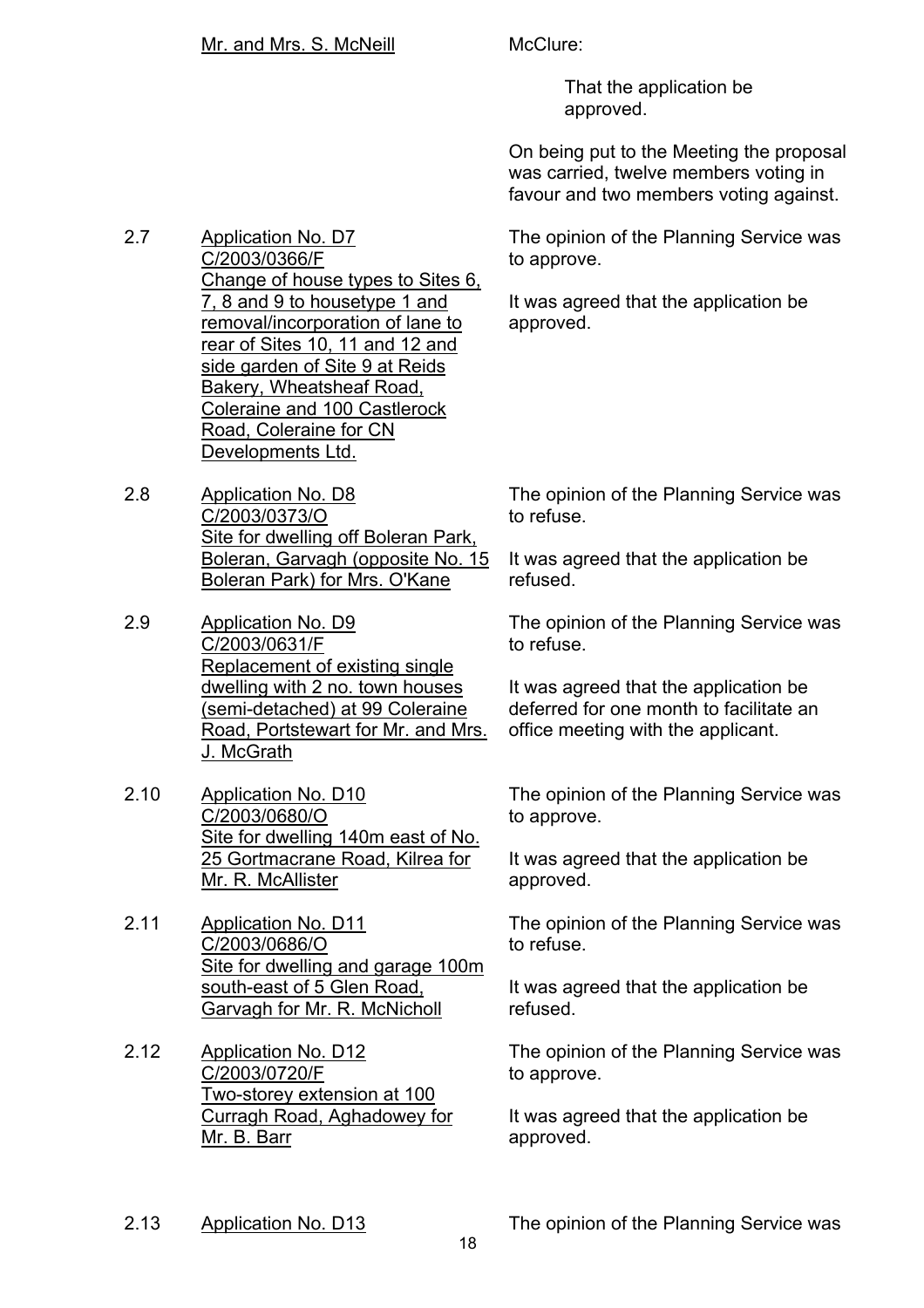That the application be approved.

On being put to the Meeting the proposal was carried, twelve members voting in favour and two members voting against.

The opinion of the Planning Service was to approve.

It was agreed that the application be approved.

2.7 Application No. D7 C/2003/0366/F Change of house types to Sites 6, 7, 8 and 9 to housetype 1 and removal/incorporation of lane to rear of Sites 10, 11 and 12 and side garden of Site 9 at Reids Bakery, Wheatsheaf Road, Coleraine and 100 Castlerock Road, Coleraine for CN Developments Ltd.

2.8 Application No. D8 C/2003/0373/O Site for dwelling off Boleran Park, Boleran, Garvagh (opposite No. 15 Boleran Park) for Mrs. O'Kane

2.9 Application No. D9 C/2003/0631/F Replacement of existing single dwelling with 2 no. town houses (semi-detached) at 99 Coleraine Road, Portstewart for Mr. and Mrs. J. McGrath

2.10 Application No. D10 C/2003/0680/O Site for dwelling 140m east of No. 25 Gortmacrane Road, Kilrea for Mr. R. McAllister

2.11 Application No. D11 C/2003/0686/O Site for dwelling and garage 100m south-east of 5 Glen Road, Garvagh for Mr. R. McNicholl

2.12 Application No. D12 C/2003/0720/F Two-storey extension at 100 Curragh Road, Aghadowey for Mr. B. Barr

The opinion of the Planning Service was to refuse.

It was agreed that the application be refused.

The opinion of the Planning Service was to refuse.

It was agreed that the application be deferred for one month to facilitate an office meeting with the applicant.

The opinion of the Planning Service was to approve.

It was agreed that the application be approved.

The opinion of the Planning Service was to refuse.

It was agreed that the application be refused.

The opinion of the Planning Service was to approve.

It was agreed that the application be approved.

2.13 Application No. D13 The opinion of the Planning Service was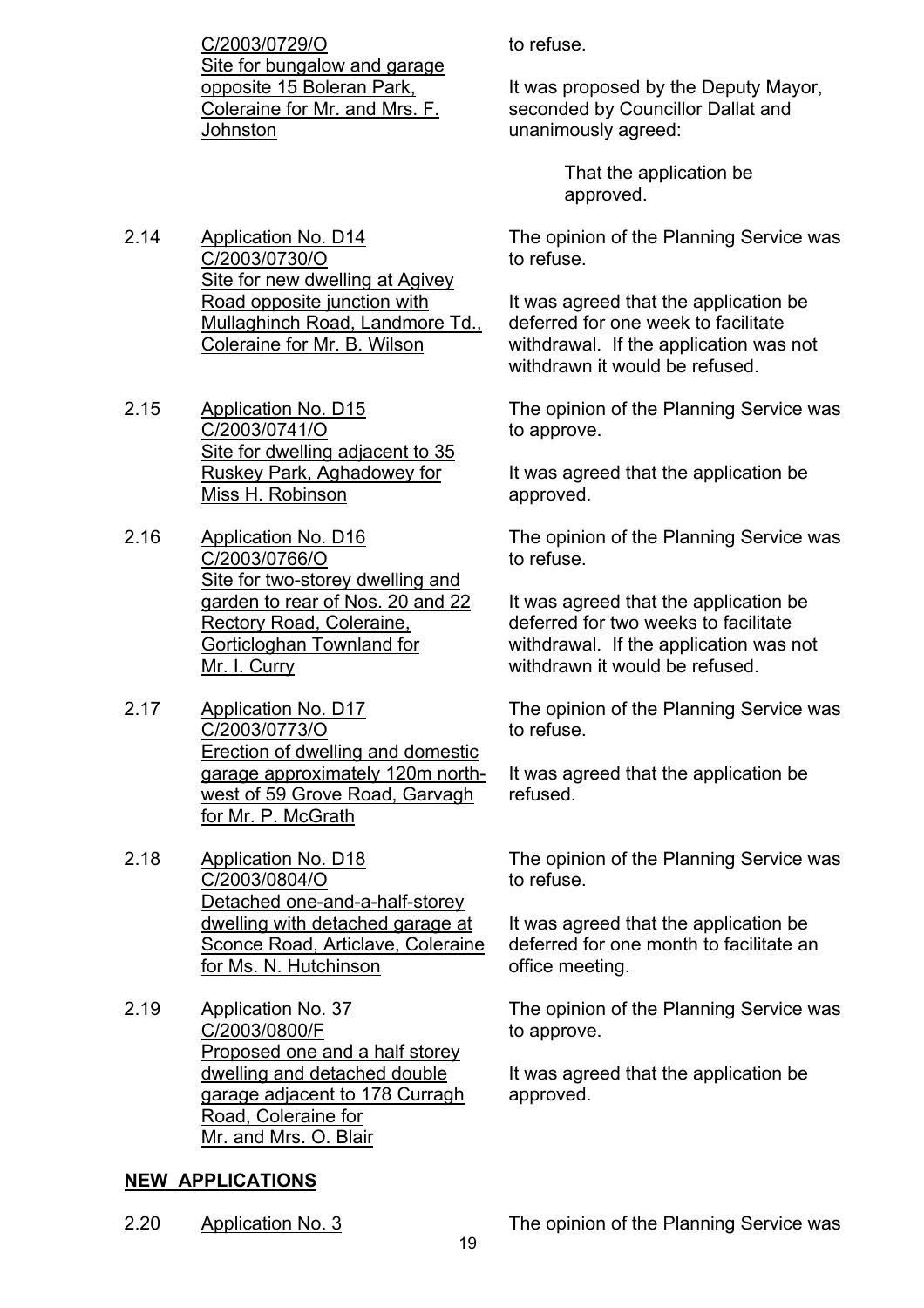C/2003/0729/O Site for bungalow and garage opposite 15 Boleran Park, Coleraine for Mr. and Mrs. F. **Johnston** 

2.14 Application No. D14 C/2003/0730/O Site for new dwelling at Agivey Road opposite junction with Mullaghinch Road, Landmore Td., Coleraine for Mr. B. Wilson

- 2.15 Application No. D15 C/2003/0741/O Site for dwelling adjacent to 35 Ruskey Park, Aghadowey for Miss H. Robinson
- 2.16 Application No. D16 C/2003/0766/O Site for two-storey dwelling and garden to rear of Nos. 20 and 22 Rectory Road, Coleraine, Gorticloghan Townland for Mr. I. Curry
- 2.17 Application No. D17 C/2003/0773/O Erection of dwelling and domestic garage approximately 120m northwest of 59 Grove Road, Garvagh for Mr. P. McGrath
- 2.18 Application No. D18 C/2003/0804/O Detached one-and-a-half-storey dwelling with detached garage at Sconce Road, Articlave, Coleraine for Ms. N. Hutchinson
- 2.19 Application No. 37 C/2003/0800/F Proposed one and a half storey dwelling and detached double garage adjacent to 178 Curragh Road, Coleraine for Mr. and Mrs. O. Blair

# **NEW APPLICATIONS**

to refuse.

It was proposed by the Deputy Mayor, seconded by Councillor Dallat and unanimously agreed:

> That the application be approved.

The opinion of the Planning Service was to refuse.

It was agreed that the application be deferred for one week to facilitate withdrawal. If the application was not withdrawn it would be refused.

The opinion of the Planning Service was to approve.

It was agreed that the application be approved.

The opinion of the Planning Service was to refuse.

It was agreed that the application be deferred for two weeks to facilitate withdrawal. If the application was not withdrawn it would be refused.

The opinion of the Planning Service was to refuse.

It was agreed that the application be refused.

The opinion of the Planning Service was to refuse.

It was agreed that the application be deferred for one month to facilitate an office meeting.

The opinion of the Planning Service was to approve.

It was agreed that the application be approved.

2.20 Application No. 3 The opinion of the Planning Service was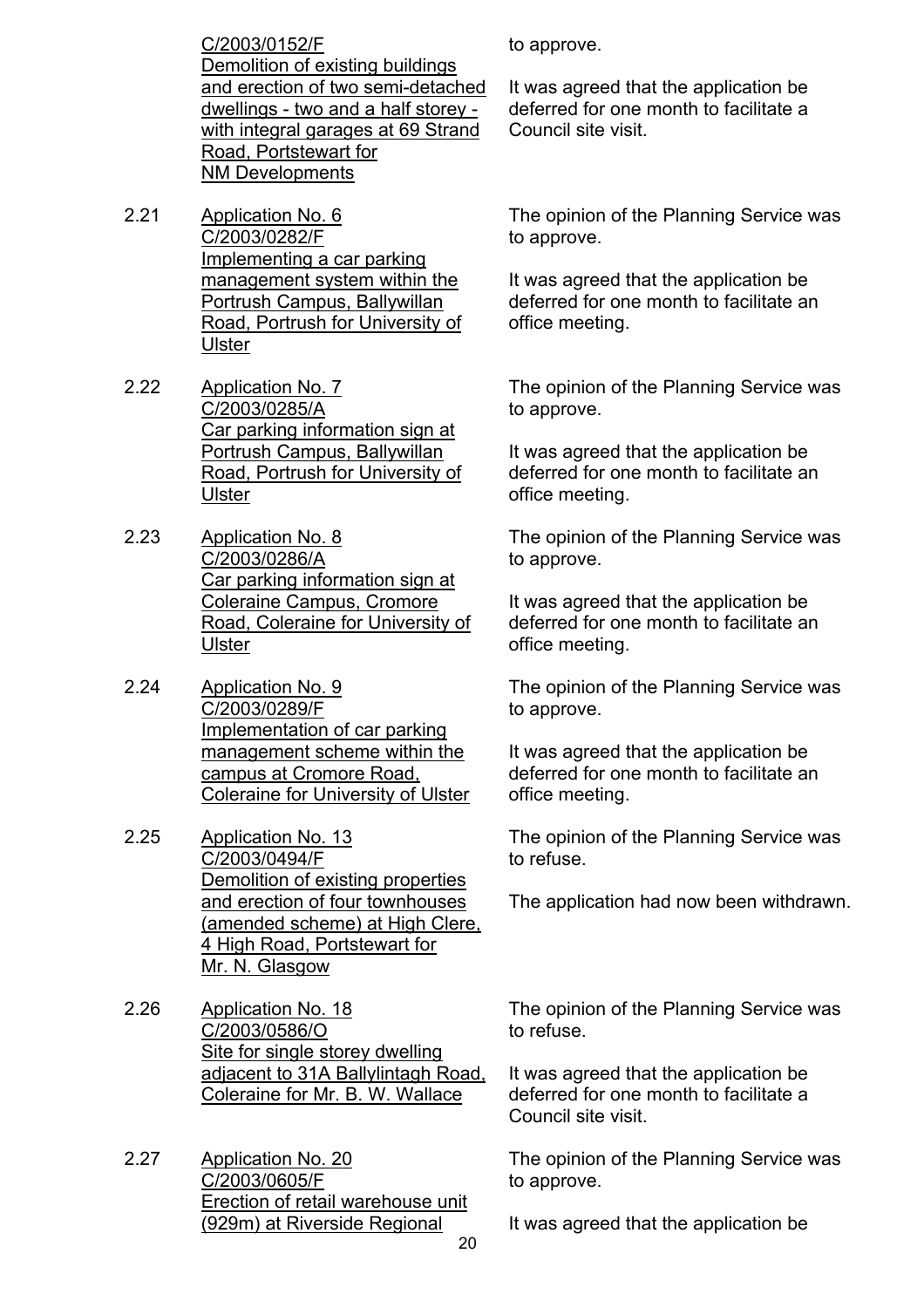C/2003/0152/F Demolition of existing buildings and erection of two semi-detached dwellings - two and a half storey with integral garages at 69 Strand Road, Portstewart for NM Developments

- 2.21 Application No. 6 C/2003/0282/F Implementing a car parking management system within the Portrush Campus, Ballywillan Road, Portrush for University of Ulster
- 2.22 Application No. 7 C/2003/0285/A Car parking information sign at Portrush Campus, Ballywillan Road, Portrush for University of **Ulster**
- 2.23 Application No. 8 C/2003/0286/A Car parking information sign at Coleraine Campus, Cromore Road, Coleraine for University of **Ulster**
- 2.24 Application No. 9 C/2003/0289/F Implementation of car parking management scheme within the campus at Cromore Road, Coleraine for University of Ulster
- 2.25 Application No. 13 C/2003/0494/F Demolition of existing properties and erection of four townhouses (amended scheme) at High Clere, 4 High Road, Portstewart for Mr. N. Glasgow
- 2.26 Application No. 18 C/2003/0586/O Site for single storey dwelling adjacent to 31A Ballylintagh Road, Coleraine for Mr. B. W. Wallace
- $20$ 2.27 Application No. 20 C/2003/0605/F Erection of retail warehouse unit (929m) at Riverside Regional

to approve.

It was agreed that the application be deferred for one month to facilitate a Council site visit.

The opinion of the Planning Service was to approve.

It was agreed that the application be deferred for one month to facilitate an office meeting.

The opinion of the Planning Service was to approve.

It was agreed that the application be deferred for one month to facilitate an office meeting.

The opinion of the Planning Service was to approve.

It was agreed that the application be deferred for one month to facilitate an office meeting.

The opinion of the Planning Service was to approve.

It was agreed that the application be deferred for one month to facilitate an office meeting.

The opinion of the Planning Service was to refuse.

The application had now been withdrawn.

The opinion of the Planning Service was to refuse.

It was agreed that the application be deferred for one month to facilitate a Council site visit.

The opinion of the Planning Service was to approve.

It was agreed that the application be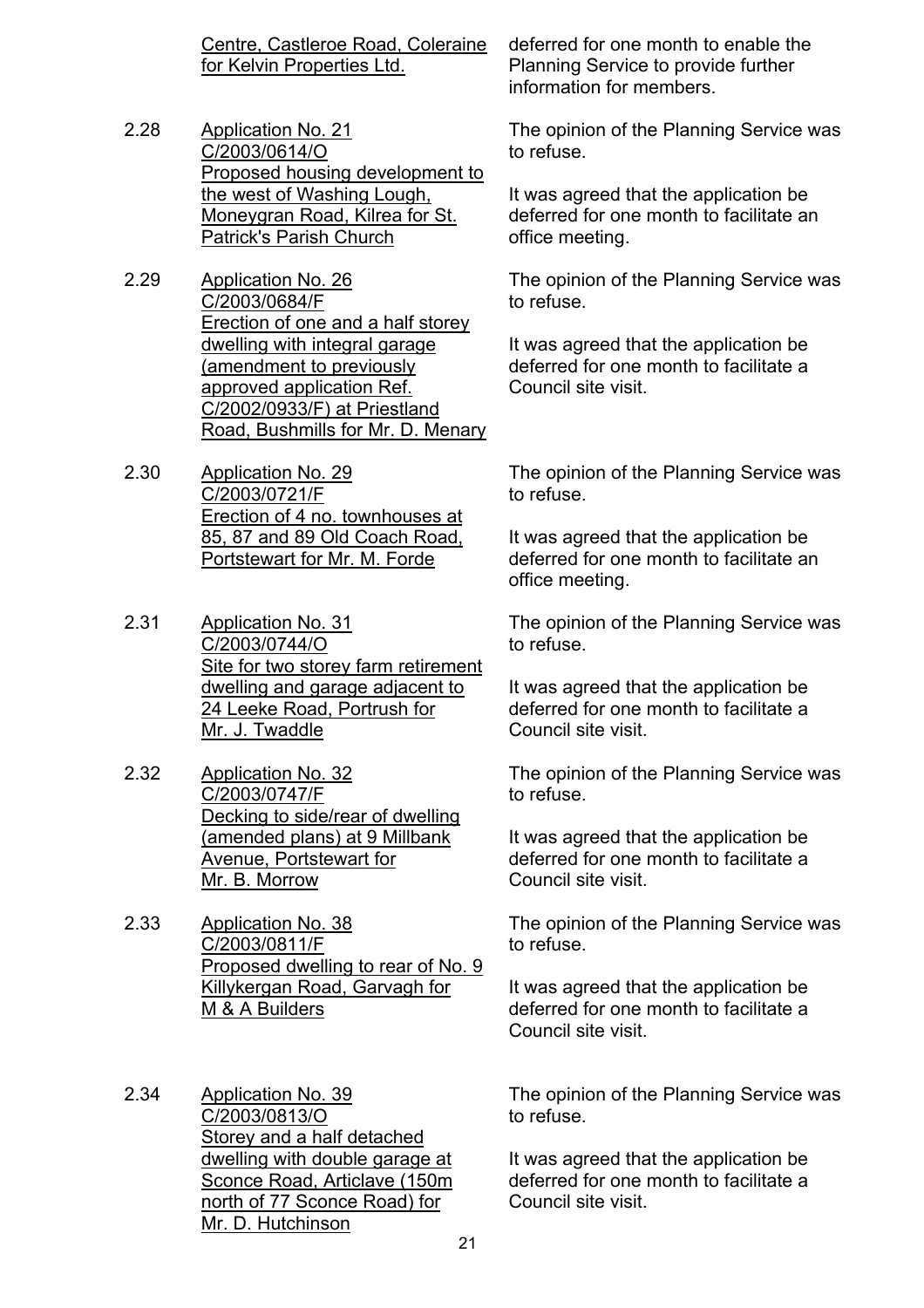Centre, Castleroe Road, Coleraine for Kelvin Properties Ltd.

- 2.28 Application No. 21 C/2003/0614/O Proposed housing development to the west of Washing Lough, Moneygran Road, Kilrea for St. Patrick's Parish Church
- 2.29 Application No. 26 C/2003/0684/F Erection of one and a half storey dwelling with integral garage (amendment to previously approved application Ref. C/2002/0933/F) at Priestland Road, Bushmills for Mr. D. Menary
- 2.30 Application No. 29 C/2003/0721/F Erection of 4 no. townhouses at 85, 87 and 89 Old Coach Road, Portstewart for Mr. M. Forde
- 2.31 Application No. 31 C/2003/0744/O Site for two storey farm retirement dwelling and garage adjacent to 24 Leeke Road, Portrush for Mr. J. Twaddle
- 2.32 Application No. 32 C/2003/0747/F Decking to side/rear of dwelling (amended plans) at 9 Millbank Avenue, Portstewart for Mr. B. Morrow
- 2.33 Application No. 38 C/2003/0811/F Proposed dwelling to rear of No. 9 Killykergan Road, Garvagh for M & A Builders
- 2.34 Application No. 39 C/2003/0813/O Storey and a half detached dwelling with double garage at Sconce Road, Articlave (150m north of 77 Sconce Road) for Mr. D. Hutchinson

deferred for one month to enable the Planning Service to provide further information for members.

The opinion of the Planning Service was to refuse.

It was agreed that the application be deferred for one month to facilitate an office meeting.

The opinion of the Planning Service was to refuse.

It was agreed that the application be deferred for one month to facilitate a Council site visit.

The opinion of the Planning Service was to refuse.

It was agreed that the application be deferred for one month to facilitate an office meeting.

The opinion of the Planning Service was to refuse.

It was agreed that the application be deferred for one month to facilitate a Council site visit.

The opinion of the Planning Service was to refuse.

It was agreed that the application be deferred for one month to facilitate a Council site visit.

The opinion of the Planning Service was to refuse.

It was agreed that the application be deferred for one month to facilitate a Council site visit.

The opinion of the Planning Service was to refuse.

It was agreed that the application be deferred for one month to facilitate a Council site visit.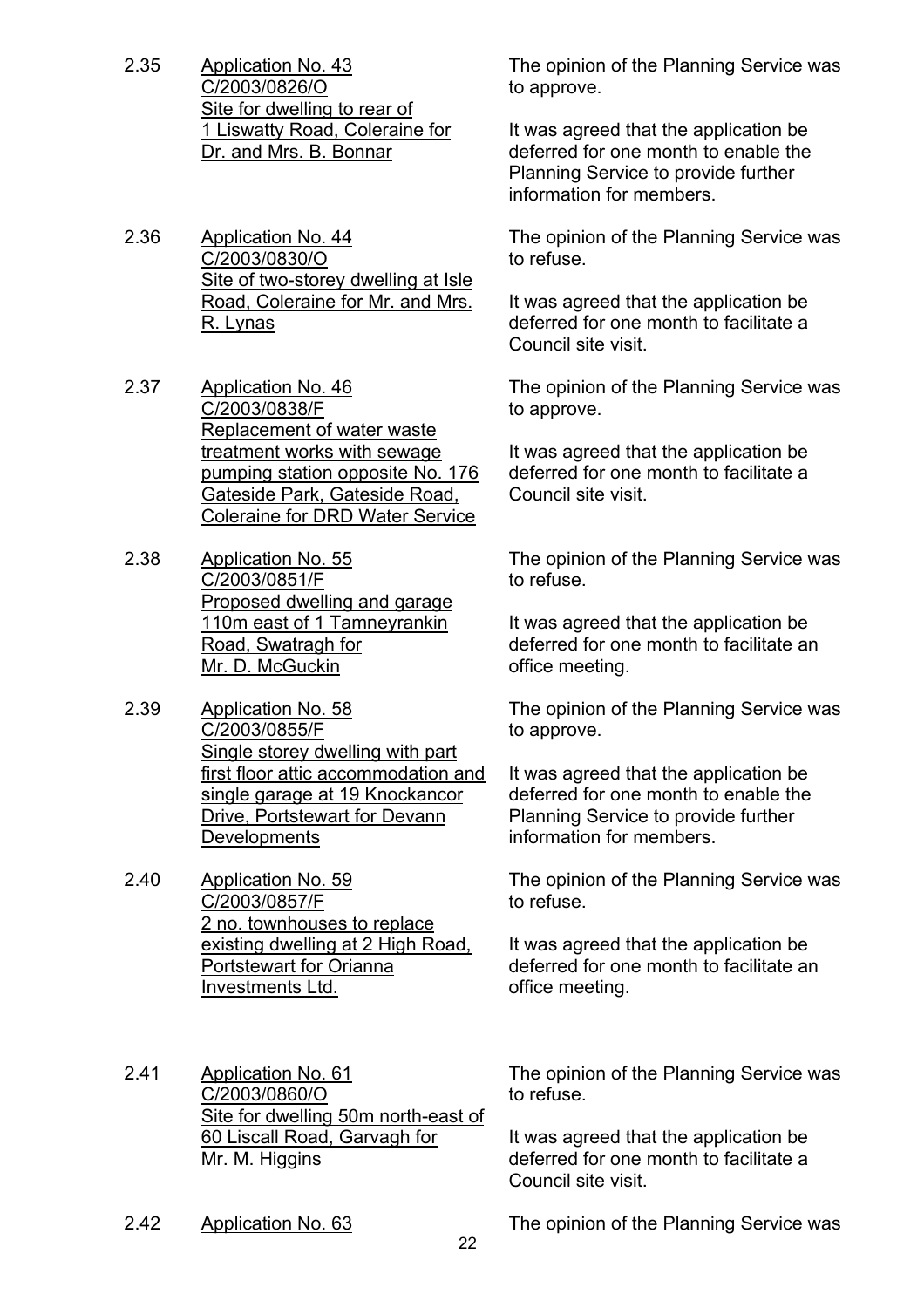- 2.35 Application No. 43 C/2003/0826/O Site for dwelling to rear of 1 Liswatty Road, Coleraine for Dr. and Mrs. B. Bonnar
- 2.36 Application No. 44 C/2003/0830/O Site of two-storey dwelling at Isle Road, Coleraine for Mr. and Mrs. R. Lynas
- 2.37 Application No. 46 C/2003/0838/F Replacement of water waste treatment works with sewage pumping station opposite No. 176 Gateside Park, Gateside Road, Coleraine for DRD Water Service
- 2.38 Application No. 55 C/2003/0851/F Proposed dwelling and garage 110m east of 1 Tamneyrankin Road, Swatragh for Mr. D. McGuckin
- 2.39 Application No. 58 C/2003/0855/F Single storey dwelling with part first floor attic accommodation and single garage at 19 Knockancor Drive, Portstewart for Devann **Developments**
- 2.40 Application No. 59 C/2003/0857/F 2 no. townhouses to replace existing dwelling at 2 High Road, Portstewart for Orianna Investments Ltd.
- 2.41 Application No. 61 C/2003/0860/O Site for dwelling 50m north-east of 60 Liscall Road, Garvagh for Mr. M. Higgins

The opinion of the Planning Service was to approve.

It was agreed that the application be deferred for one month to enable the Planning Service to provide further information for members.

The opinion of the Planning Service was to refuse.

It was agreed that the application be deferred for one month to facilitate a Council site visit.

The opinion of the Planning Service was to approve.

It was agreed that the application be deferred for one month to facilitate a Council site visit.

The opinion of the Planning Service was to refuse.

It was agreed that the application be deferred for one month to facilitate an office meeting.

The opinion of the Planning Service was to approve.

It was agreed that the application be deferred for one month to enable the Planning Service to provide further information for members.

The opinion of the Planning Service was to refuse.

It was agreed that the application be deferred for one month to facilitate an office meeting.

to refuse.

The opinion of the Planning Service was

It was agreed that the application be deferred for one month to facilitate a Council site visit.

2.42 Application No. 63 The opinion of the Planning Service was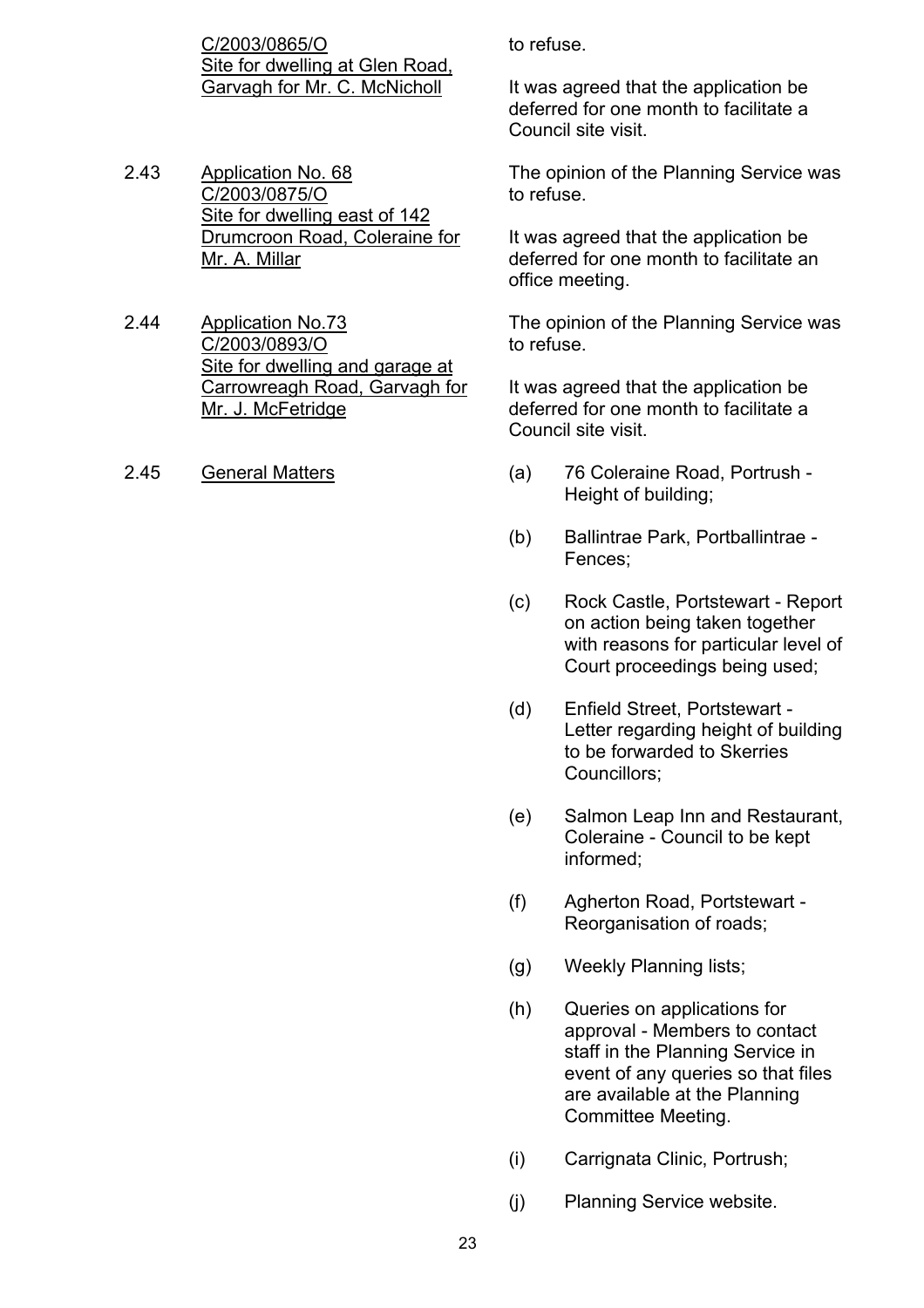C/2003/0865/O Site for dwelling at Glen Road, Garvagh for Mr. C. McNicholl

- 2.43 Application No. 68 C/2003/0875/O Site for dwelling east of 142 Drumcroon Road, Coleraine for Mr. A. Millar
- 2.44 Application No.73 C/2003/0893/O Site for dwelling and garage at Carrowreagh Road, Garvagh for Mr. J. McFetridge
- 

to refuse.

It was agreed that the application be deferred for one month to facilitate a Council site visit.

The opinion of the Planning Service was to refuse.

It was agreed that the application be deferred for one month to facilitate an office meeting.

The opinion of the Planning Service was to refuse.

It was agreed that the application be deferred for one month to facilitate a Council site visit.

- 2.45 General Matters (a) 76 Coleraine Road, Portrush Height of building;
	- (b) Ballintrae Park, Portballintrae Fences;
	- (c) Rock Castle, Portstewart Report on action being taken together with reasons for particular level of Court proceedings being used;
	- (d) Enfield Street, Portstewart Letter regarding height of building to be forwarded to Skerries Councillors;
	- (e) Salmon Leap Inn and Restaurant, Coleraine - Council to be kept informed;
	- (f) Agherton Road, Portstewart Reorganisation of roads;
	- (g) Weekly Planning lists;
	- (h) Queries on applications for approval - Members to contact staff in the Planning Service in event of any queries so that files are available at the Planning Committee Meeting.
	- (i) Carrignata Clinic, Portrush;
	- (j) Planning Service website.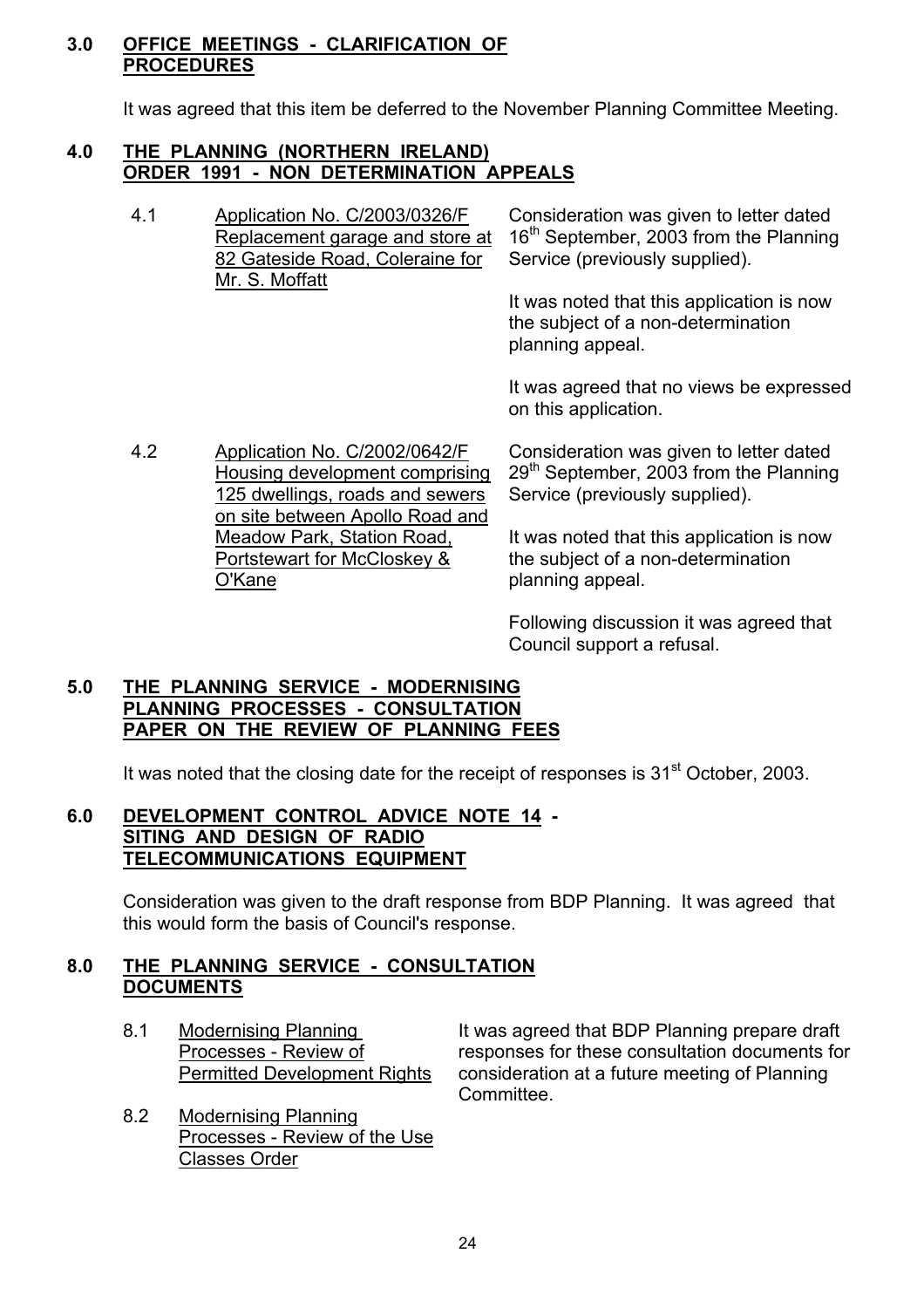#### **3.0 OFFICE MEETINGS - CLARIFICATION OF PROCEDURES**

It was agreed that this item be deferred to the November Planning Committee Meeting.

#### **4.0 THE PLANNING (NORTHERN IRELAND) ORDER 1991 - NON DETERMINATION APPEALS**

4.1 Application No. C/2003/0326/F Replacement garage and store at 82 Gateside Road, Coleraine for Mr. S. Moffatt Consideration was given to letter dated 16<sup>th</sup> September, 2003 from the Planning Service (previously supplied). It was noted that this application is now the subject of a non-determination planning appeal.

> It was agreed that no views be expressed on this application.

4.2 Application No. C/2002/0642/F Housing development comprising 125 dwellings, roads and sewers on site between Apollo Road and Meadow Park, Station Road, Portstewart for McCloskey & O'Kane Consideration was given to letter dated  $29<sup>th</sup>$  September, 2003 from the Planning Service (previously supplied). It was noted that this application is now the subject of a non-determination planning appeal.

> Following discussion it was agreed that Council support a refusal.

### **5.0 THE PLANNING SERVICE - MODERNISING PLANNING PROCESSES - CONSULTATION PAPER ON THE REVIEW OF PLANNING FEES**

It was noted that the closing date for the receipt of responses is  $31<sup>st</sup>$  October, 2003.

### **6.0 DEVELOPMENT CONTROL ADVICE NOTE 14 - SITING AND DESIGN OF RADIO TELECOMMUNICATIONS EQUIPMENT**

 Consideration was given to the draft response from BDP Planning. It was agreed that this would form the basis of Council's response.

### **8.0 THE PLANNING SERVICE - CONSULTATION DOCUMENTS**

- 
- 8.2 Modernising Planning Processes - Review of the Use Classes Order

8.1 Modernising Planning It was agreed that BDP Planning prepare draft Processes - Review of responses for these consultation documents for Permitted Development Rights consideration at a future meeting of Planning Committee.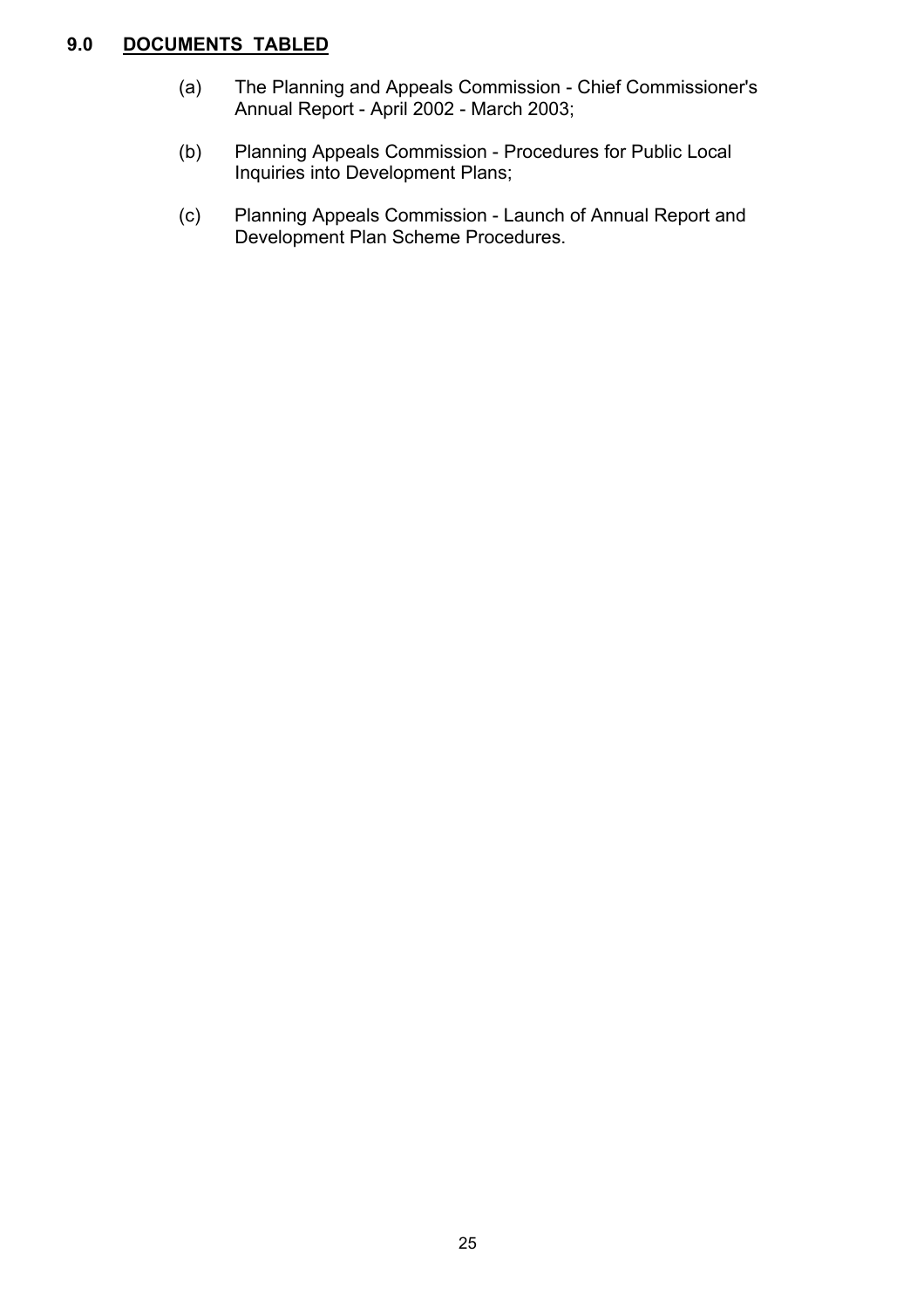# **9.0 DOCUMENTS TABLED**

- (a) The Planning and Appeals Commission Chief Commissioner's Annual Report - April 2002 - March 2003;
- (b) Planning Appeals Commission Procedures for Public Local Inquiries into Development Plans;
- (c) Planning Appeals Commission Launch of Annual Report and Development Plan Scheme Procedures.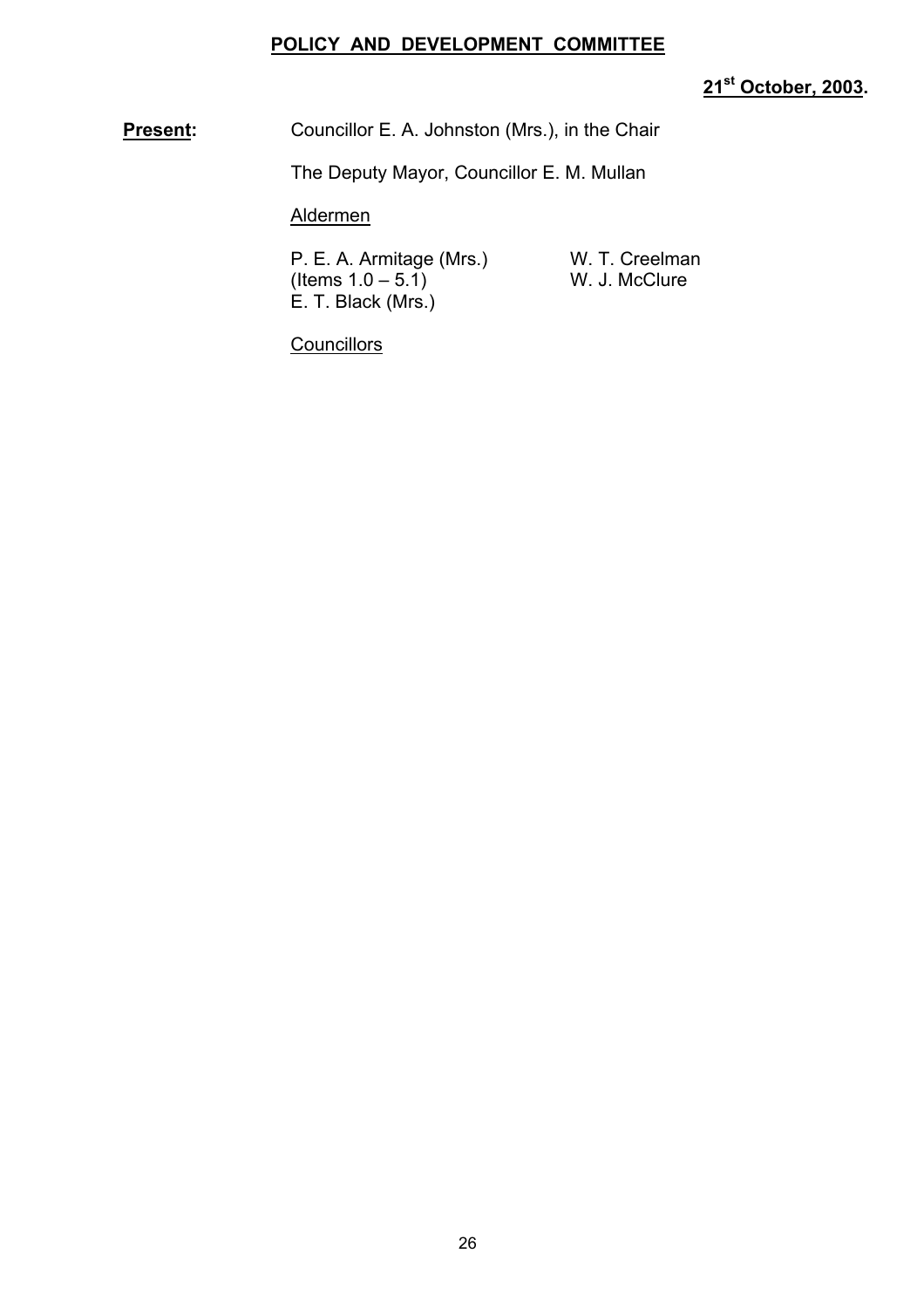### **POLICY AND DEVELOPMENT COMMITTEE**

# **21st October, 2003.**

**Present:** Councillor E. A. Johnston (Mrs.), in the Chair

The Deputy Mayor, Councillor E. M. Mullan

Aldermen

P. E. A. Armitage (Mrs.) W. T. Creelman  $($  Items  $1.0 - 5.1)$  W. J. McClure E. T. Black (Mrs.)

**Councillors**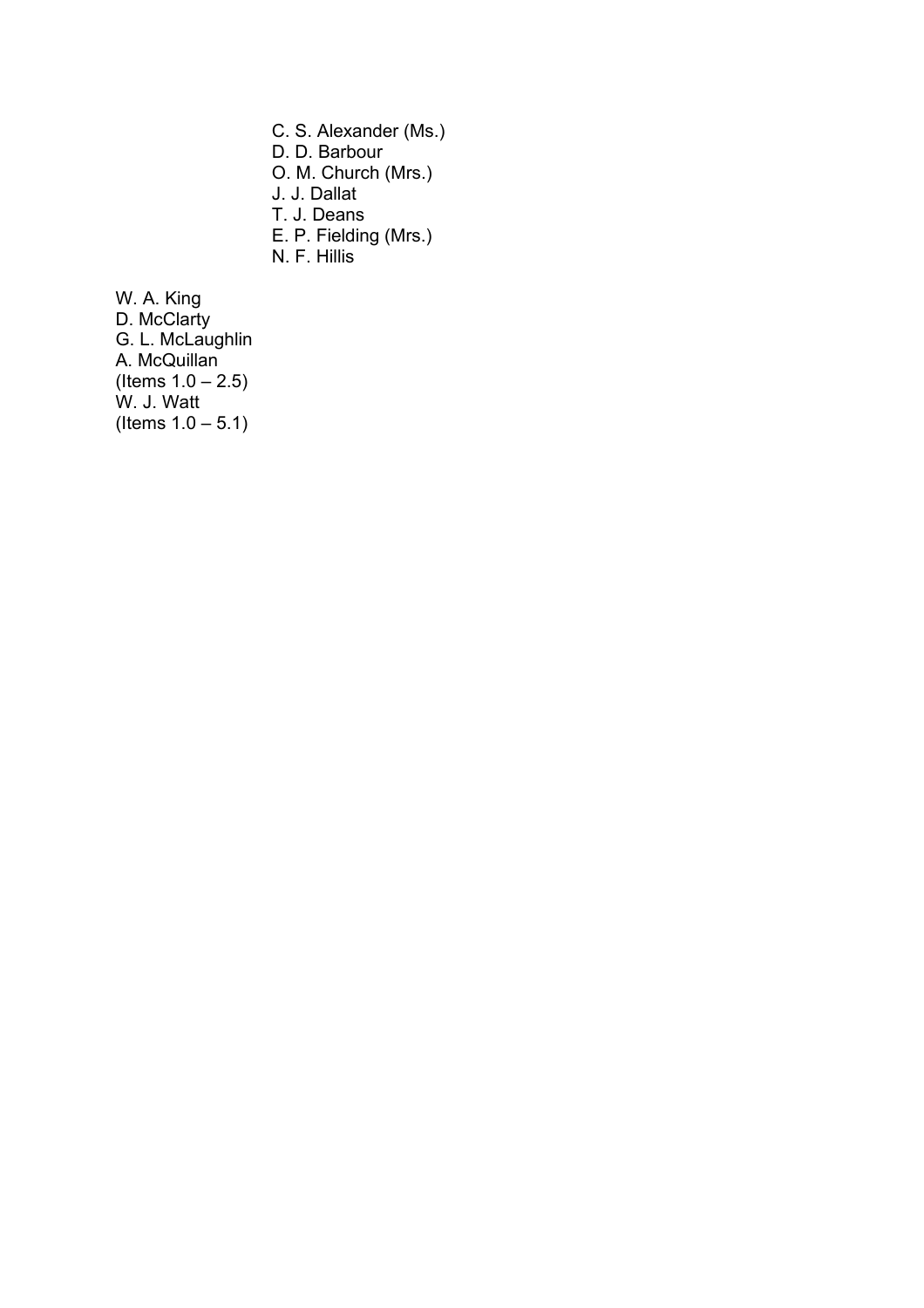C. S. Alexander (Ms.) D. D. Barbour O. M. Church (Mrs.) J. J. Dallat T. J. Deans E. P. Fielding (Mrs.) N. F. Hillis

W. A. King D. McClarty G. L. McLaughlin A. McQuillan  $($  ltems  $1.0 - 2.5)$ W. J. Watt  $($  Items  $1.0 - 5.1)$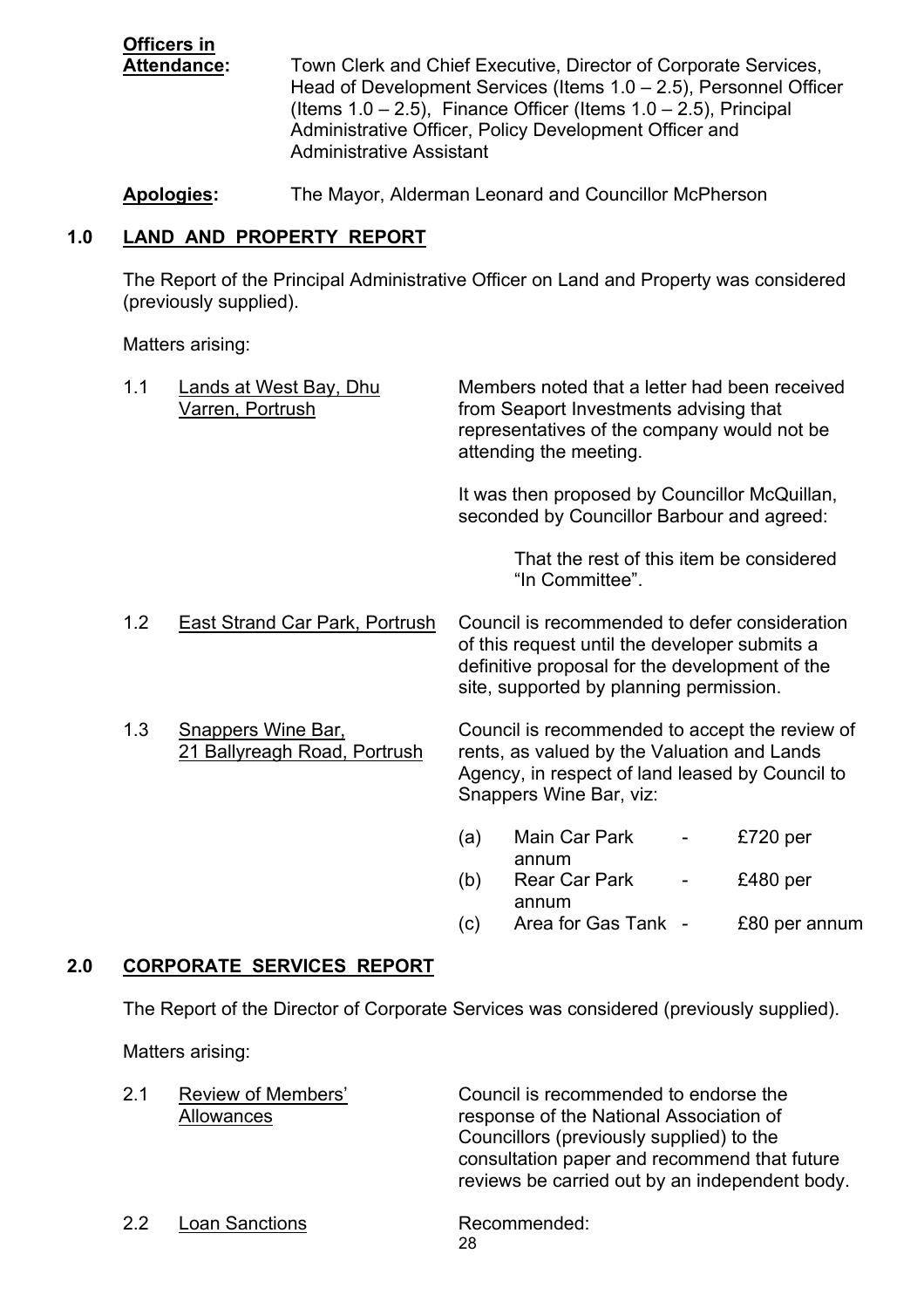**Officers in** Attendance: Town Clerk and Chief Executive, Director of Corporate Services, Head of Development Services (Items  $1.0 - 2.5$ ), Personnel Officer (Items  $1.0 - 2.5$ ), Finance Officer (Items  $1.0 - 2.5$ ), Principal Administrative Officer, Policy Development Officer and Administrative Assistant

**Apologies:** The Mayor, Alderman Leonard and Councillor McPherson

# **1.0 LAND AND PROPERTY REPORT**

The Report of the Principal Administrative Officer on Land and Property was considered (previously supplied).

Matters arising:

|     | 1.1 | <b>Lands at West Bay, Dhu</b><br>Varren, Portrush                                                                      |                                                                                                                                                                             | Members noted that a letter had been received<br>from Seaport Investments advising that<br>representatives of the company would not be<br>attending the meeting.                            |               |
|-----|-----|------------------------------------------------------------------------------------------------------------------------|-----------------------------------------------------------------------------------------------------------------------------------------------------------------------------|---------------------------------------------------------------------------------------------------------------------------------------------------------------------------------------------|---------------|
|     |     |                                                                                                                        |                                                                                                                                                                             | It was then proposed by Councillor McQuillan,<br>seconded by Councillor Barbour and agreed:                                                                                                 |               |
|     |     |                                                                                                                        |                                                                                                                                                                             | That the rest of this item be considered<br>"In Committee".                                                                                                                                 |               |
|     | 1.2 | <b>East Strand Car Park, Portrush</b>                                                                                  |                                                                                                                                                                             | Council is recommended to defer consideration<br>of this request until the developer submits a<br>definitive proposal for the development of the<br>site, supported by planning permission. |               |
|     | 1.3 | <b>Snappers Wine Bar,</b><br>21 Ballyreagh Road, Portrush                                                              | Council is recommended to accept the review of<br>rents, as valued by the Valuation and Lands<br>Agency, in respect of land leased by Council to<br>Snappers Wine Bar, viz: |                                                                                                                                                                                             |               |
|     |     |                                                                                                                        | (a)                                                                                                                                                                         | Main Car Park<br>annum                                                                                                                                                                      | £720 per      |
|     |     |                                                                                                                        | (b)                                                                                                                                                                         | <b>Rear Car Park</b><br>annum                                                                                                                                                               | £480 per      |
|     |     |                                                                                                                        | (c)                                                                                                                                                                         | Area for Gas Tank -                                                                                                                                                                         | £80 per annum |
| 2.0 |     | <b>CORPORATE SERVICES REPORT</b>                                                                                       |                                                                                                                                                                             |                                                                                                                                                                                             |               |
|     |     | The Report of the Director of Corporate Services was considered (previously supplied).                                 |                                                                                                                                                                             |                                                                                                                                                                                             |               |
|     |     | Matters arising:                                                                                                       |                                                                                                                                                                             |                                                                                                                                                                                             |               |
|     |     | <u>in a car and a community of the second second and the second second and second and second and second and second</u> |                                                                                                                                                                             |                                                                                                                                                                                             |               |

| 2.1 | Review of Members'<br>Allowances | Council is recommended to endorse the<br>response of the National Association of<br>Councillors (previously supplied) to the<br>consultation paper and recommend that future<br>reviews be carried out by an independent body. |
|-----|----------------------------------|--------------------------------------------------------------------------------------------------------------------------------------------------------------------------------------------------------------------------------|
| 22  | <b>Loan Sanctions</b>            | Recommended:<br>28                                                                                                                                                                                                             |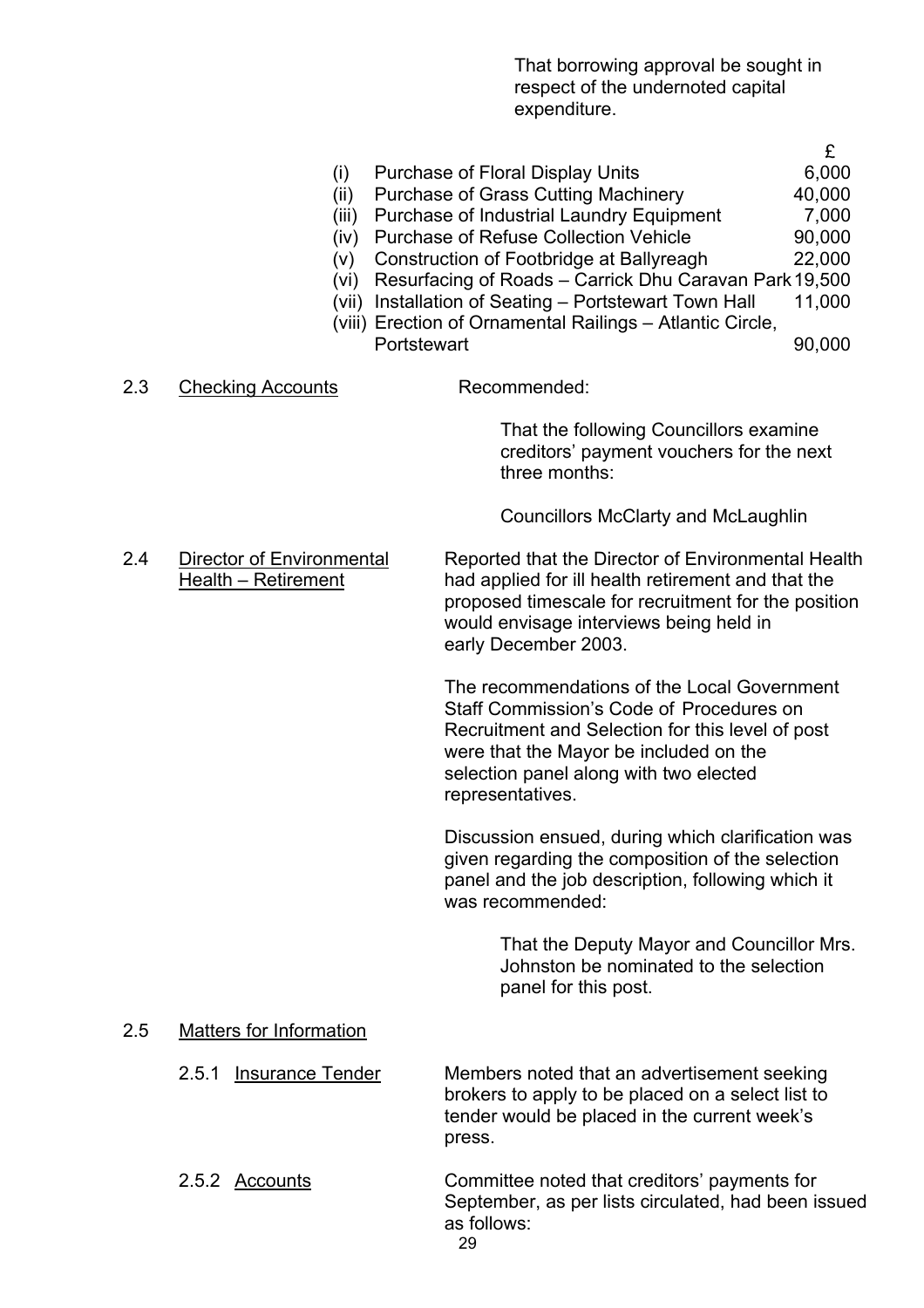That borrowing approval be sought in respect of the undernoted capital expenditure.

- £ (i) Purchase of Floral Display Units 6,000 (ii) Purchase of Grass Cutting Machinery 40,000 (iii) Purchase of Industrial Laundry Equipment 7,000 (iv) Purchase of Refuse Collection Vehicle 90,000 (v) Construction of Footbridge at Ballyreagh 22,000 (vi) Resurfacing of Roads ñ Carrick Dhu Caravan Park 19,500 (vii) Installation of Seating  $-$  Portstewart Town Hall 11,000 (viii) Erection of Ornamental Railings – Atlantic Circle, Portstewart 90,000 2.3 Checking Accounts Recommended: That the following Councillors examine creditors' payment vouchers for the next three months: Councillors McClarty and McLaughlin 2.4 Director of Environmental Reported that the Director of Environmental Health
	- Health Retirement had applied for ill health retirement and that the proposed timescale for recruitment for the position would envisage interviews being held in early December 2003.

 The recommendations of the Local Government Staff Commission's Code of Procedures on Recruitment and Selection for this level of post were that the Mayor be included on the selection panel along with two elected representatives.

 Discussion ensued, during which clarification was given regarding the composition of the selection panel and the job description, following which it was recommended:

> That the Deputy Mayor and Councillor Mrs. Johnston be nominated to the selection panel for this post.

### 2.5 Matters for Information

- 2.5.1 Insurance Tender Members noted that an advertisement seeking brokers to apply to be placed on a select list to tender would be placed in the current week's press.
- <u>29 and 29 and 29 and 29 and 29 and 29 and 29 and 29 and 29 and 29 and 29 and 29 and 29 and 29 and 29 and 2012</u> 2.5.2 Accounts Committee noted that creditorsí payments for September, as per lists circulated, had been issued as follows: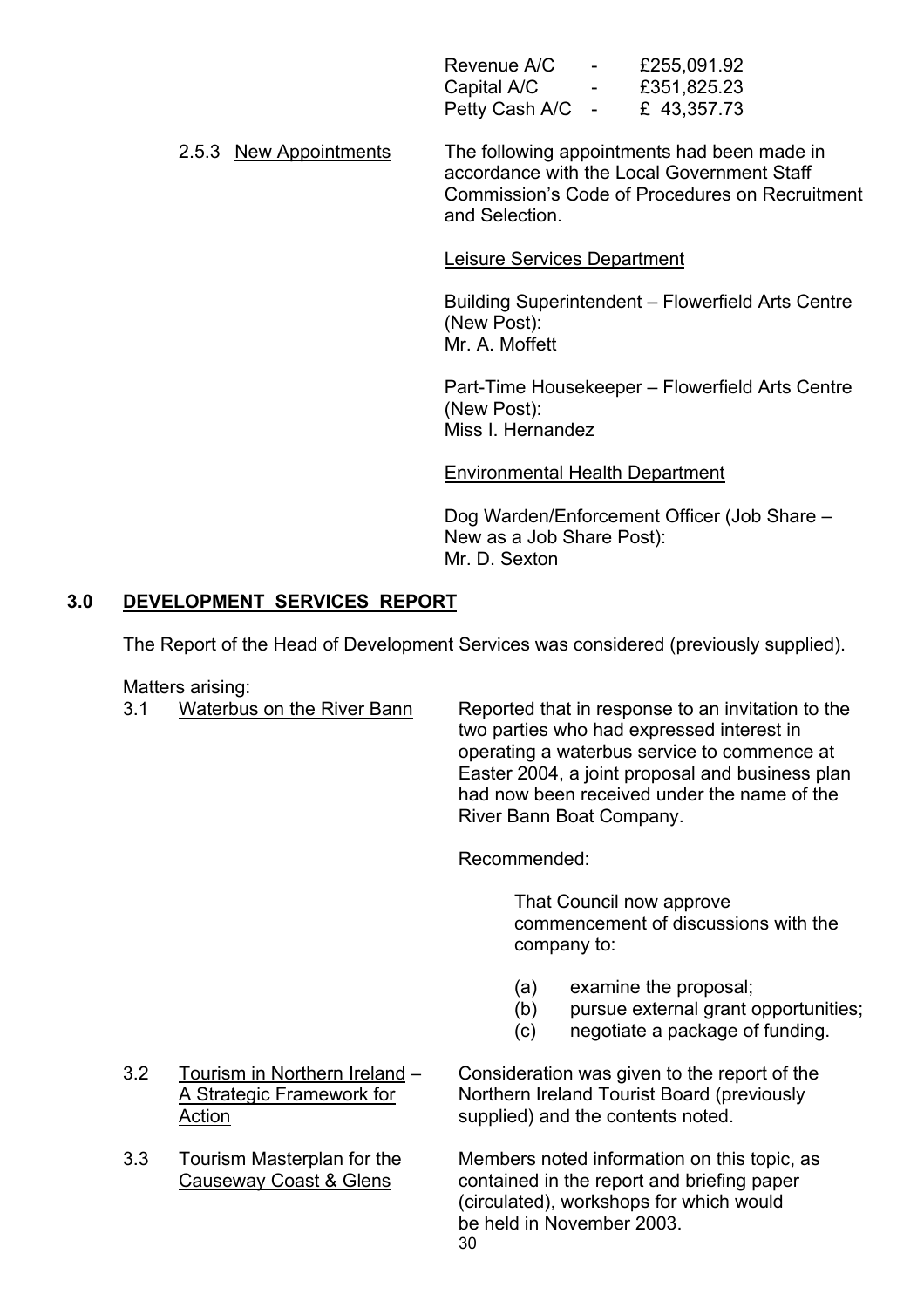| Revenue A/C      | <b>Contract Contract Contract</b> | £255,091.92 |
|------------------|-----------------------------------|-------------|
| Capital A/C      | $\sim$ $-$                        | £351,825.23 |
| Petty Cash A/C - |                                   | £43,357.73  |

2.5.3 New Appointments The following appointments had been made in accordance with the Local Government Staff Commission's Code of Procedures on Recruitment and Selection.

Leisure Services Department

Building Superintendent - Flowerfield Arts Centre (New Post): Mr. A. Moffett

Part-Time Housekeeper – Flowerfield Arts Centre (New Post): Miss I. Hernandez

Environmental Health Department

Dog Warden/Enforcement Officer (Job Share – New as a Job Share Post): Mr. D. Sexton

# **3.0 DEVELOPMENT SERVICES REPORT**

The Report of the Head of Development Services was considered (previously supplied).

Matters arising:

 3.1 Waterbus on the River Bann Reported that in response to an invitation to the two parties who had expressed interest in operating a waterbus service to commence at Easter 2004, a joint proposal and business plan had now been received under the name of the River Bann Boat Company.

Recommended:

That Council now approve commencement of discussions with the company to:

- (a) examine the proposal;
- (b) pursue external grant opportunities;
- (c) negotiate a package of funding.
- 
- 

3.2 Tourism in Northern Ireland – Consideration was given to the report of the A Strategic Framework for Northern Ireland Tourist Board (previously Action supplied) and the contents noted.

 $30$  3.3 Tourism Masterplan for the Members noted information on this topic, as Causeway Coast & Glens contained in the report and briefing paper (circulated), workshops for which would be held in November 2003.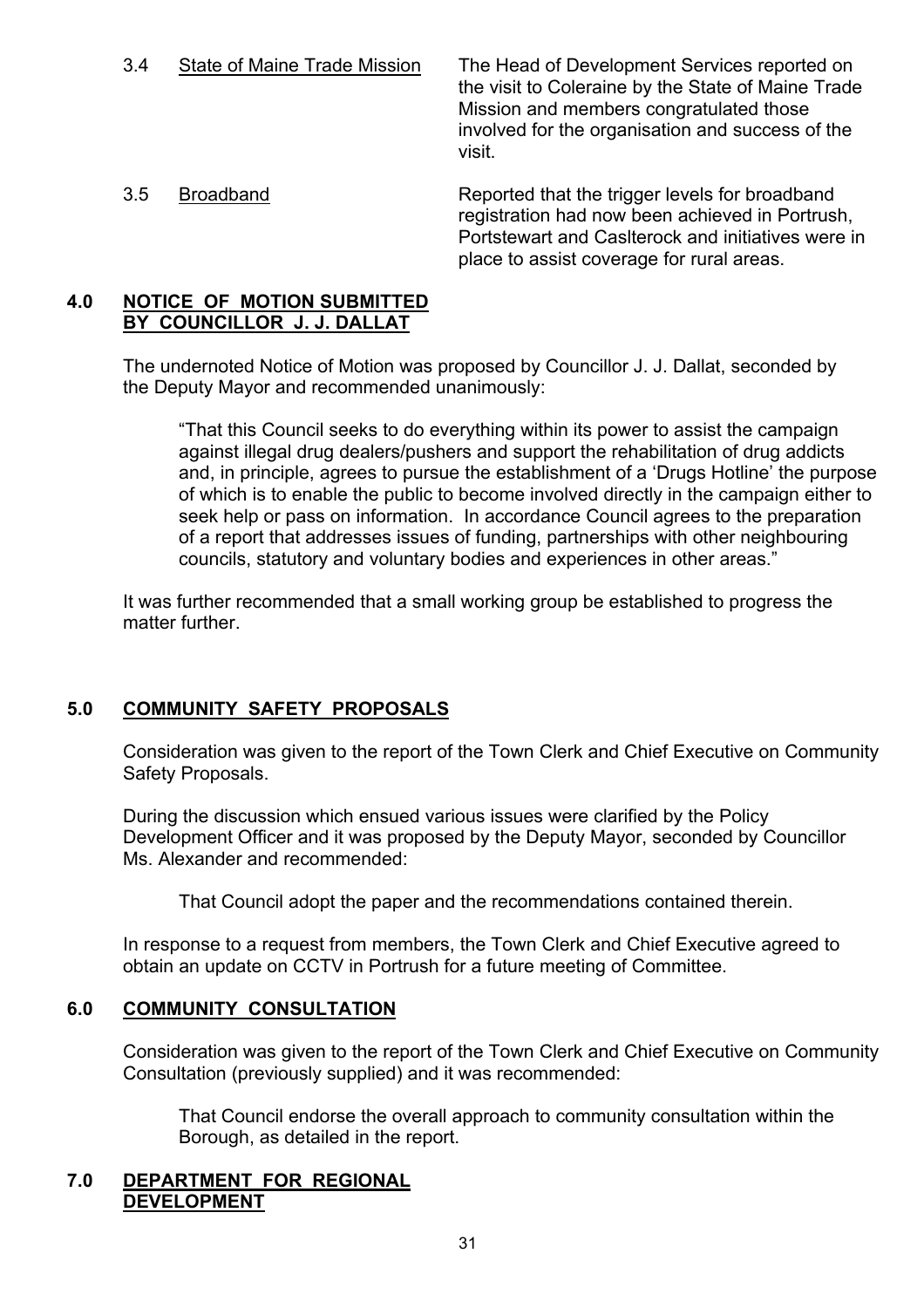3.4 State of Maine Trade Mission The Head of Development Services reported on the visit to Coleraine by the State of Maine Trade Mission and members congratulated those involved for the organisation and success of the visit.

 3.5 Broadband Reported that the trigger levels for broadband registration had now been achieved in Portrush, Portstewart and Caslterock and initiatives were in place to assist coverage for rural areas.

#### **4.0 NOTICE OF MOTION SUBMITTED BY COUNCILLOR J. J. DALLAT**

 The undernoted Notice of Motion was proposed by Councillor J. J. Dallat, seconded by the Deputy Mayor and recommended unanimously:

ìThat this Council seeks to do everything within its power to assist the campaign against illegal drug dealers/pushers and support the rehabilitation of drug addicts and, in principle, agrees to pursue the establishment of a 'Drugs Hotline' the purpose of which is to enable the public to become involved directly in the campaign either to seek help or pass on information. In accordance Council agrees to the preparation of a report that addresses issues of funding, partnerships with other neighbouring councils, statutory and voluntary bodies and experiences in other areas."

 It was further recommended that a small working group be established to progress the matter further.

# **5.0 COMMUNITY SAFETY PROPOSALS**

Consideration was given to the report of the Town Clerk and Chief Executive on Community Safety Proposals.

During the discussion which ensued various issues were clarified by the Policy Development Officer and it was proposed by the Deputy Mayor, seconded by Councillor Ms. Alexander and recommended:

That Council adopt the paper and the recommendations contained therein.

In response to a request from members, the Town Clerk and Chief Executive agreed to obtain an update on CCTV in Portrush for a future meeting of Committee.

# **6.0 COMMUNITY CONSULTATION**

Consideration was given to the report of the Town Clerk and Chief Executive on Community Consultation (previously supplied) and it was recommended:

 That Council endorse the overall approach to community consultation within the Borough, as detailed in the report.

# **7.0 DEPARTMENT FOR REGIONAL DEVELOPMENT**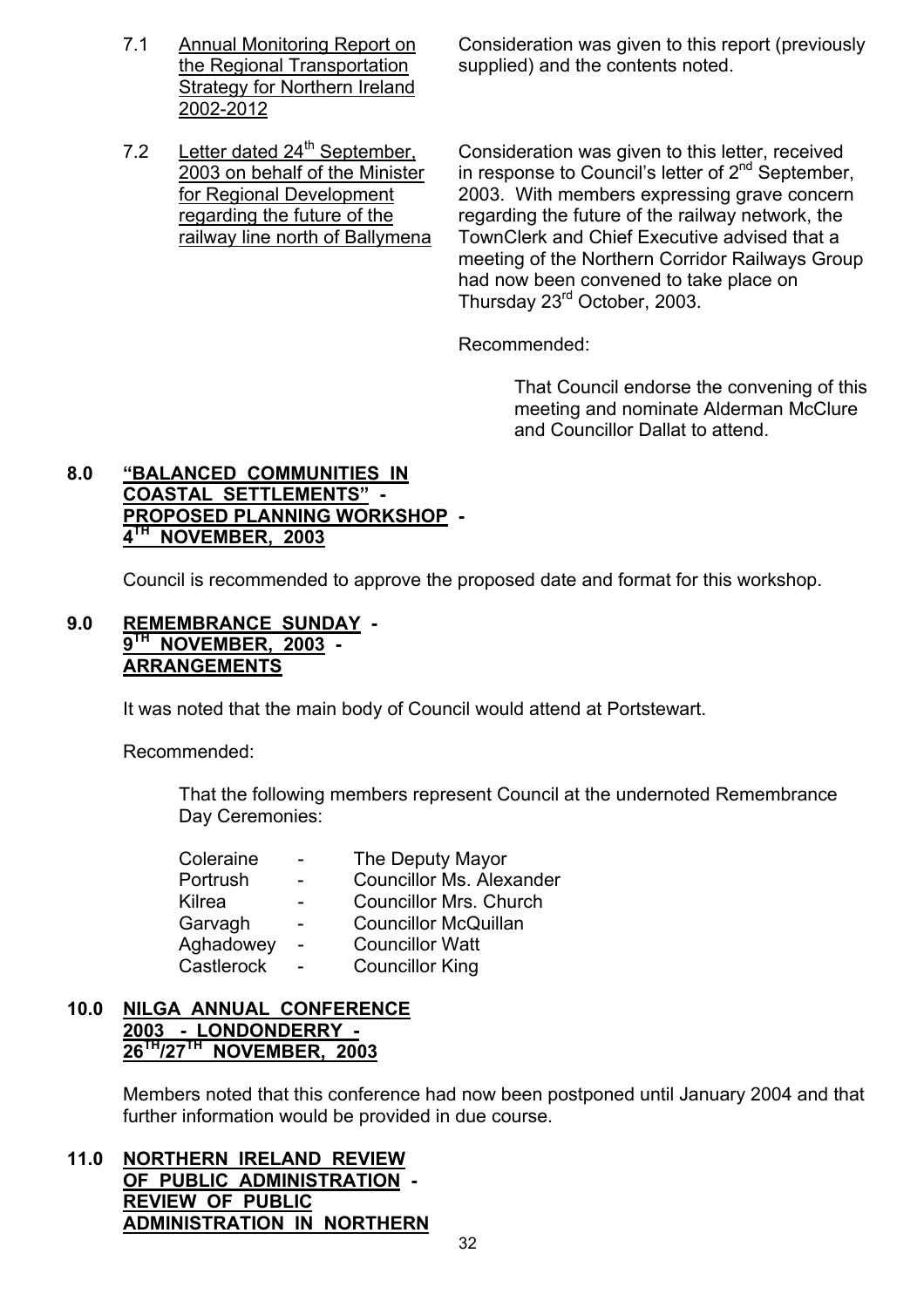**Strategy for Northern Ireland** 2002-2012

7.1 Annual Monitoring Report on Consideration was given to this report (previously the Regional Transportation supplied) and the contents noted.

7.2 Letter dated 24<sup>th</sup> September, Consideration was given to this letter, received 2003 on behalf of the Minister in response to Council's letter of  $2^{nd}$  September, for Regional Development 2003. With members expressing grave concern regarding the future of the regarding the future of the railway network, the railway line north of Ballymena TownClerk and Chief Executive advised that a meeting of the Northern Corridor Railways Group had now been convened to take place on Thursday 23rd October, 2003.

Recommended:

 That Council endorse the convening of this meeting and nominate Alderman McClure and Councillor Dallat to attend.

### **8.0 ìBALANCED COMMUNITIES IN COASTAL SETTLEMENTS" -PROPOSED PLANNING WORKSHOP - 4TH NOVEMBER, 2003**

Council is recommended to approve the proposed date and format for this workshop.

### **9.0 REMEMBRANCE SUNDAY - 9TH NOVEMBER, 2003 - ARRANGEMENTS**

It was noted that the main body of Council would attend at Portstewart.

Recommended:

 That the following members represent Council at the undernoted Remembrance Day Ceremonies:

| Coleraine  | $\overline{\phantom{a}}$ | The Deputy Mayor                |
|------------|--------------------------|---------------------------------|
| Portrush   |                          | <b>Councillor Ms. Alexander</b> |
| Kilrea     |                          | <b>Councillor Mrs. Church</b>   |
| Garvagh    | $\overline{\phantom{0}}$ | <b>Councillor McQuillan</b>     |
| Aghadowey  | $\sim$                   | <b>Councillor Watt</b>          |
| Castlerock |                          | <b>Councillor King</b>          |
|            |                          |                                 |

### **10.0 NILGA ANNUAL CONFERENCE 2003 - LONDONDERRY - 26TH/27TH NOVEMBER, 2003**

Members noted that this conference had now been postponed until January 2004 and that further information would be provided in due course.

**11.0 NORTHERN IRELAND REVIEW OF PUBLIC ADMINISTRATION - REVIEW OF PUBLIC ADMINISTRATION IN NORTHERN**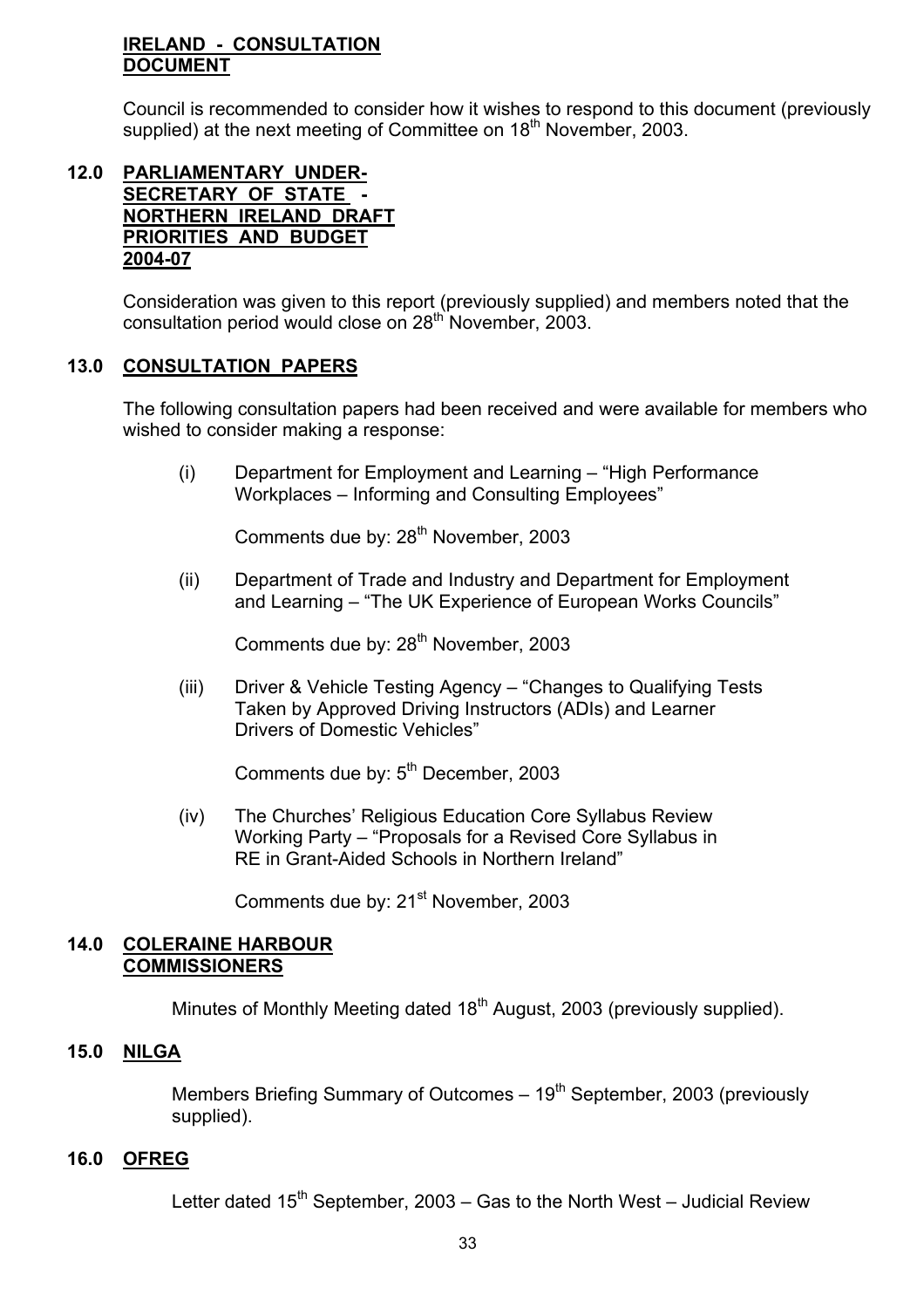### **IRELAND - CONSULTATION DOCUMENT**

Council is recommended to consider how it wishes to respond to this document (previously supplied) at the next meeting of Committee on 18<sup>th</sup> November, 2003.

### **12.0 PARLIAMENTARY UNDER-SECRETARY OF STATE - NORTHERN IRELAND DRAFT PRIORITIES AND BUDGET 2004-07**

Consideration was given to this report (previously supplied) and members noted that the consultation period would close on 28<sup>th</sup> November, 2003.

# **13.0 CONSULTATION PAPERS**

The following consultation papers had been received and were available for members who wished to consider making a response:

 $(i)$  Department for Employment and Learning  $-$  "High Performance Workplaces – Informing and Consulting Employees"

Comments due by: 28<sup>th</sup> November, 2003

(ii) Department of Trade and Industry and Department for Employment and Learning – "The UK Experience of European Works Councils"

Comments due by: 28<sup>th</sup> November, 2003

(iii) Driver & Vehicle Testing Agency – "Changes to Qualifying Tests" Taken by Approved Driving Instructors (ADIs) and Learner Drivers of Domestic Vehicles"

Comments due by: 5<sup>th</sup> December, 2003

 (iv) The Churchesí Religious Education Core Syllabus Review Working Party – "Proposals for a Revised Core Syllabus in RE in Grant-Aided Schools in Northern Ireland"

Comments due by: 21<sup>st</sup> November, 2003

### **14.0 COLERAINE HARBOUR COMMISSIONERS**

Minutes of Monthly Meeting dated 18<sup>th</sup> August, 2003 (previously supplied).

# **15.0 NILGA**

**Members Briefing Summary of Outcomes – 19<sup>th</sup> September, 2003 (previously** supplied).

# **16.0 OFREG**

Letter dated 15<sup>th</sup> September, 2003 – Gas to the North West – Judicial Review